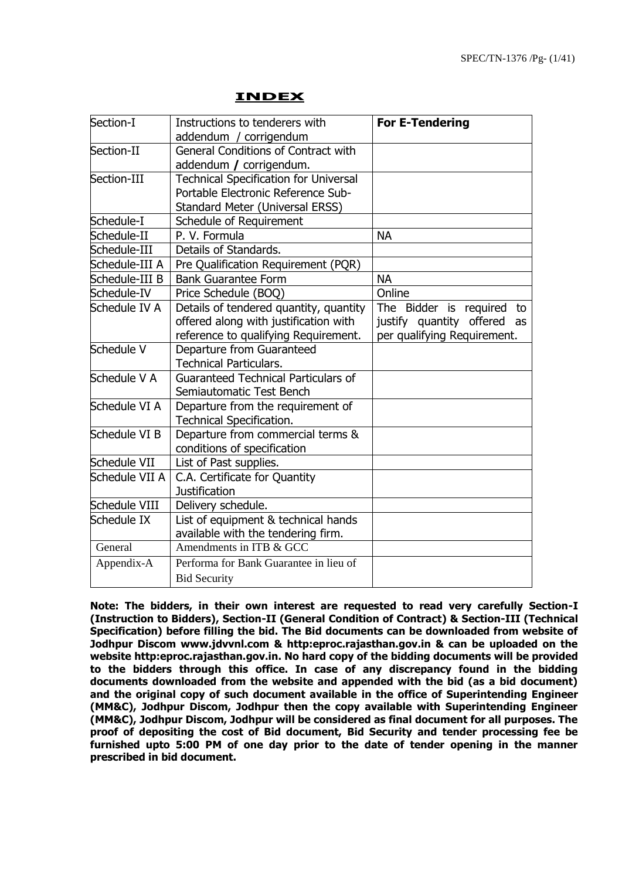| Section-I      | Instructions to tenderers with               | <b>For E-Tendering</b>      |
|----------------|----------------------------------------------|-----------------------------|
|                | addendum / corrigendum                       |                             |
| Section-II     | General Conditions of Contract with          |                             |
|                | addendum / corrigendum.                      |                             |
| Section-III    | <b>Technical Specification for Universal</b> |                             |
|                | Portable Electronic Reference Sub-           |                             |
|                | Standard Meter (Universal ERSS)              |                             |
| Schedule-I     | Schedule of Requirement                      |                             |
| Schedule-II    | P. V. Formula                                | <b>NA</b>                   |
| Schedule-III   | Details of Standards.                        |                             |
| Schedule-III A | Pre Qualification Requirement (PQR)          |                             |
| Schedule-III B | <b>Bank Guarantee Form</b>                   | <b>NA</b>                   |
| Schedule-IV    | Price Schedule (BOO)                         | Online                      |
| Schedule IV A  | Details of tendered quantity, quantity       | The Bidder is required to   |
|                | offered along with justification with        | justify quantity offered as |
|                | reference to qualifying Requirement.         | per qualifying Requirement. |
| Schedule V     | Departure from Guaranteed                    |                             |
|                | <b>Technical Particulars.</b>                |                             |
| Schedule V A   | <b>Guaranteed Technical Particulars of</b>   |                             |
|                | Semiautomatic Test Bench                     |                             |
| Schedule VI A  | Departure from the requirement of            |                             |
|                | Technical Specification.                     |                             |
| Schedule VI B  | Departure from commercial terms &            |                             |
|                | conditions of specification                  |                             |
| Schedule VII   | List of Past supplies.                       |                             |
| Schedule VII A | C.A. Certificate for Quantity                |                             |
|                | <b>Justification</b>                         |                             |
| Schedule VIII  | Delivery schedule.                           |                             |
| Schedule IX    | List of equipment & technical hands          |                             |
|                | available with the tendering firm.           |                             |
| General        | Amendments in ITB & GCC                      |                             |
| Appendix-A     | Performa for Bank Guarantee in lieu of       |                             |
|                | <b>Bid Security</b>                          |                             |

#### **INDEX**

**Note: The bidders, in their own interest are requested to read very carefully Section-I (Instruction to Bidders), Section-II (General Condition of Contract) & Section-III (Technical Specification) before filling the bid. The Bid documents can be downloaded from website of Jodhpur Discom www.jdvvnl.com & http:eproc.rajasthan.gov.in & can be uploaded on the website http:eproc.rajasthan.gov.in. No hard copy of the bidding documents will be provided to the bidders through this office. In case of any discrepancy found in the bidding documents downloaded from the website and appended with the bid (as a bid document) and the original copy of such document available in the office of Superintending Engineer (MM&C), Jodhpur Discom, Jodhpur then the copy available with Superintending Engineer (MM&C), Jodhpur Discom, Jodhpur will be considered as final document for all purposes. The proof of depositing the cost of Bid document, Bid Security and tender processing fee be furnished upto 5:00 PM of one day prior to the date of tender opening in the manner prescribed in bid document.**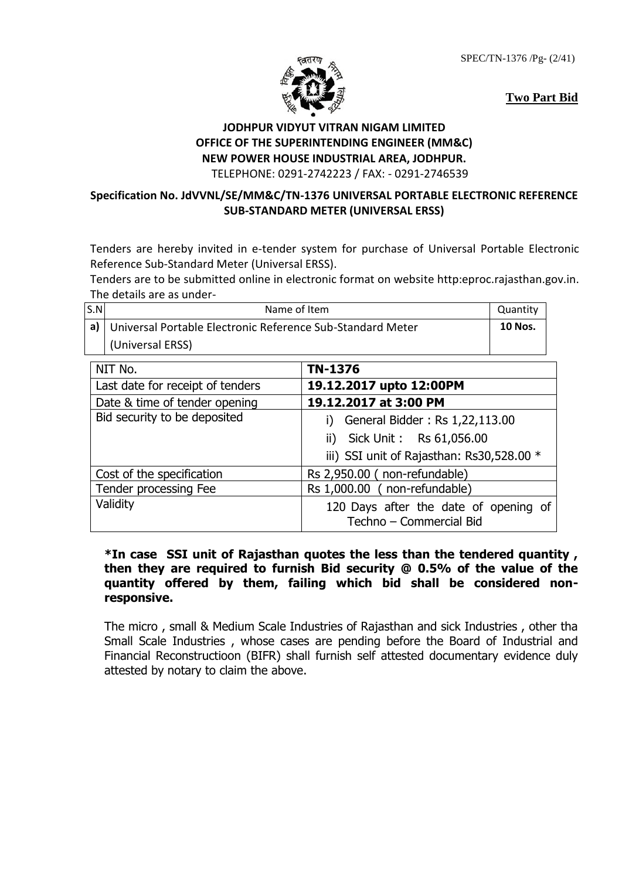SPEC/TN-1376 /Pg- (2/41)





## **JODHPUR VIDYUT VITRAN NIGAM LIMITED OFFICE OF THE SUPERINTENDING ENGINEER (MM&C) NEW POWER HOUSE INDUSTRIAL AREA, JODHPUR.**

TELEPHONE: 0291-2742223 / FAX: - 0291-2746539

#### **Specification No. JdVVNL/SE/MM&C/TN-1376 UNIVERSAL PORTABLE ELECTRONIC REFERENCE SUB-STANDARD METER (UNIVERSAL ERSS)**

Tenders are hereby invited in e-tender system for purchase of Universal Portable Electronic Reference Sub-Standard Meter (Universal ERSS).

Tenders are to be submitted online in electronic format on website http:eproc.rajasthan.gov.in. The details are as under-

| S.N | Name of Item                                                    | Quantity       |
|-----|-----------------------------------------------------------------|----------------|
|     | a)   Universal Portable Electronic Reference Sub-Standard Meter | <b>10 Nos.</b> |
|     | (Universal ERSS)                                                |                |

| NIT No.                          | TN-1376                                                          |  |
|----------------------------------|------------------------------------------------------------------|--|
| Last date for receipt of tenders | 19.12.2017 upto 12:00PM                                          |  |
| Date & time of tender opening    | 19.12.2017 at 3:00 PM                                            |  |
| Bid security to be deposited     | General Bidder: Rs 1,22,113.00<br>ii) Sick Unit: Rs 61,056.00    |  |
|                                  | iii) SSI unit of Rajasthan: Rs30,528.00 *                        |  |
| Cost of the specification        | Rs 2,950.00 (non-refundable)                                     |  |
| Tender processing Fee            | Rs 1,000.00 (non-refundable)                                     |  |
| Validity                         | 120 Days after the date of opening of<br>Techno - Commercial Bid |  |

#### **\*In case SSI unit of Rajasthan quotes the less than the tendered quantity , then they are required to furnish Bid security @ 0.5% of the value of the quantity offered by them, failing which bid shall be considered nonresponsive.**

The micro , small & Medium Scale Industries of Rajasthan and sick Industries , other tha Small Scale Industries , whose cases are pending before the Board of Industrial and Financial Reconstructioon (BIFR) shall furnish self attested documentary evidence duly attested by notary to claim the above.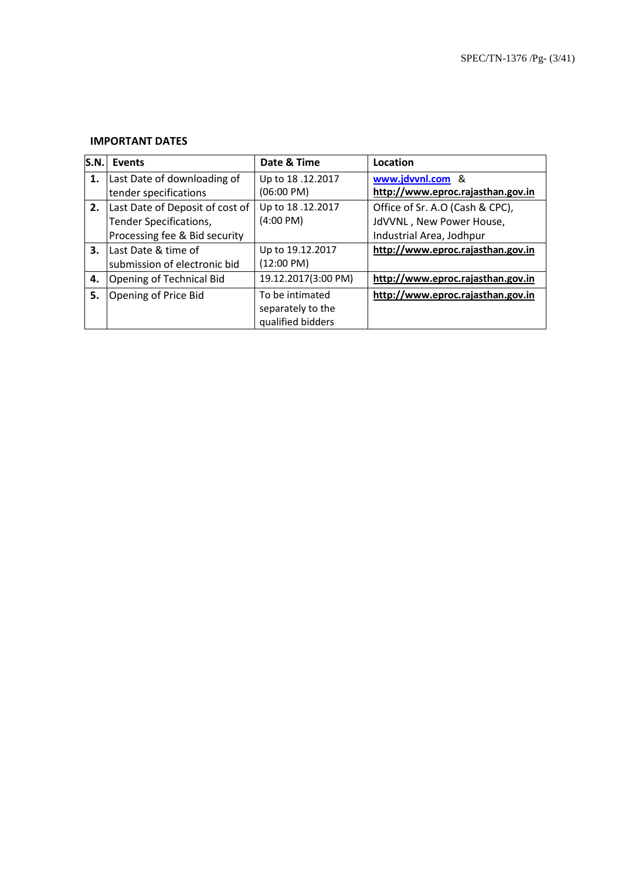#### **IMPORTANT DATES**

| <b>S.N.</b> | <b>Events</b>                   | Date & Time         | Location                          |
|-------------|---------------------------------|---------------------|-----------------------------------|
| 1.          | Last Date of downloading of     | Up to 18.12.2017    | www.jdvvnl.com &                  |
|             | tender specifications           | (06:00 PM)          | http://www.eproc.rajasthan.gov.in |
| 2.          | Last Date of Deposit of cost of | Up to 18.12.2017    | Office of Sr. A.O (Cash & CPC),   |
|             | Tender Specifications,          | $(4:00 \text{ PM})$ | JdVVNL, New Power House,          |
|             | Processing fee & Bid security   |                     | Industrial Area, Jodhpur          |
| 3.          | Last Date & time of             | Up to 19.12.2017    | http://www.eproc.rajasthan.gov.in |
|             | submission of electronic bid    | (12:00 PM)          |                                   |
| 4.          | Opening of Technical Bid        | 19.12.2017(3:00 PM) | http://www.eproc.rajasthan.gov.in |
| 5.          | Opening of Price Bid            | To be intimated     | http://www.eproc.rajasthan.gov.in |
|             |                                 | separately to the   |                                   |
|             |                                 | qualified bidders   |                                   |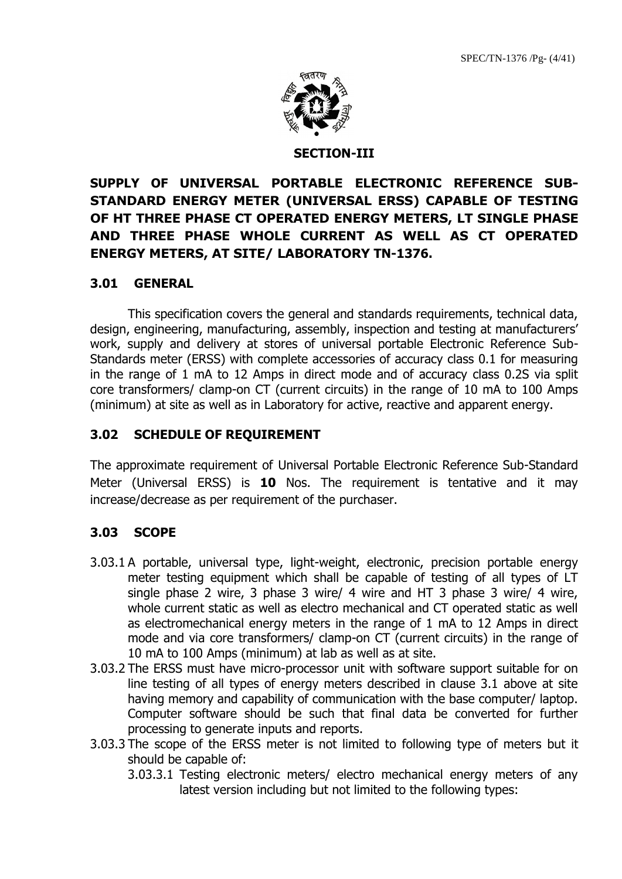

#### **SECTION-III**

# **SUPPLY OF UNIVERSAL PORTABLE ELECTRONIC REFERENCE SUB-STANDARD ENERGY METER (UNIVERSAL ERSS) CAPABLE OF TESTING OF HT THREE PHASE CT OPERATED ENERGY METERS, LT SINGLE PHASE AND THREE PHASE WHOLE CURRENT AS WELL AS CT OPERATED ENERGY METERS, AT SITE/ LABORATORY TN-1376.**

#### **3.01 GENERAL**

This specification covers the general and standards requirements, technical data, design, engineering, manufacturing, assembly, inspection and testing at manufacturers' work, supply and delivery at stores of universal portable Electronic Reference Sub-Standards meter (ERSS) with complete accessories of accuracy class 0.1 for measuring in the range of 1 mA to 12 Amps in direct mode and of accuracy class 0.2S via split core transformers/ clamp-on CT (current circuits) in the range of 10 mA to 100 Amps (minimum) at site as well as in Laboratory for active, reactive and apparent energy.

## **3.02 SCHEDULE OF REQUIREMENT**

The approximate requirement of Universal Portable Electronic Reference Sub-Standard Meter (Universal ERSS) is **10** Nos. The requirement is tentative and it may increase/decrease as per requirement of the purchaser.

#### **3.03 SCOPE**

- 3.03.1 A portable, universal type, light-weight, electronic, precision portable energy meter testing equipment which shall be capable of testing of all types of LT single phase 2 wire, 3 phase 3 wire/ 4 wire and HT 3 phase 3 wire/ 4 wire, whole current static as well as electro mechanical and CT operated static as well as electromechanical energy meters in the range of 1 mA to 12 Amps in direct mode and via core transformers/ clamp-on CT (current circuits) in the range of 10 mA to 100 Amps (minimum) at lab as well as at site.
- 3.03.2 The ERSS must have micro-processor unit with software support suitable for on line testing of all types of energy meters described in clause 3.1 above at site having memory and capability of communication with the base computer/ laptop. Computer software should be such that final data be converted for further processing to generate inputs and reports.
- 3.03.3 The scope of the ERSS meter is not limited to following type of meters but it should be capable of:
	- 3.03.3.1 Testing electronic meters/ electro mechanical energy meters of any latest version including but not limited to the following types: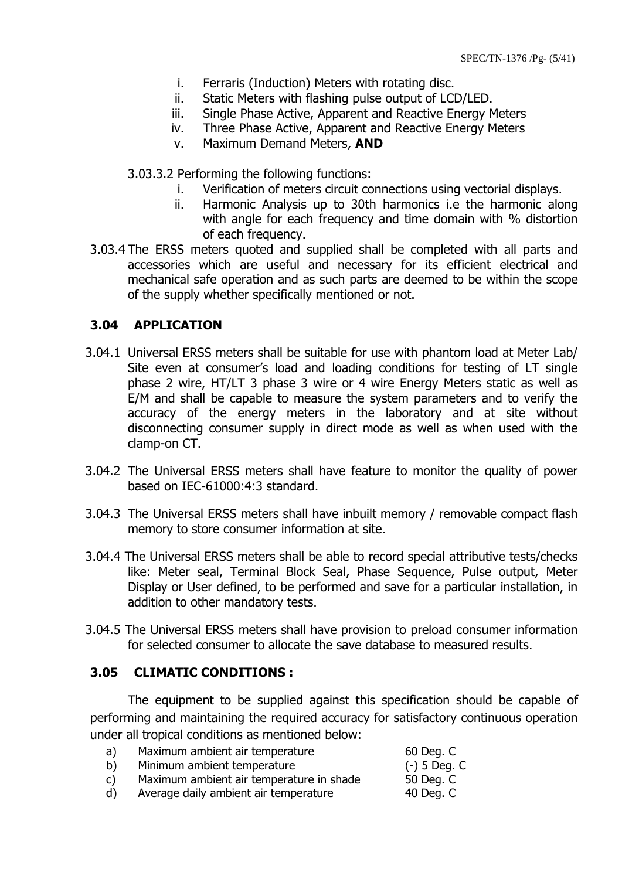- i. Ferraris (Induction) Meters with rotating disc.
- ii. Static Meters with flashing pulse output of LCD/LED.
- iii. Single Phase Active, Apparent and Reactive Energy Meters
- iv. Three Phase Active, Apparent and Reactive Energy Meters
- v. Maximum Demand Meters, **AND**

3.03.3.2 Performing the following functions:

- i. Verification of meters circuit connections using vectorial displays.
- ii. Harmonic Analysis up to 30th harmonics i.e the harmonic along with angle for each frequency and time domain with % distortion of each frequency.
- 3.03.4 The ERSS meters quoted and supplied shall be completed with all parts and accessories which are useful and necessary for its efficient electrical and mechanical safe operation and as such parts are deemed to be within the scope of the supply whether specifically mentioned or not.

## **3.04 APPLICATION**

- 3.04.1 Universal ERSS meters shall be suitable for use with phantom load at Meter Lab/ Site even at consumer's load and loading conditions for testing of LT single phase 2 wire, HT/LT 3 phase 3 wire or 4 wire Energy Meters static as well as E/M and shall be capable to measure the system parameters and to verify the accuracy of the energy meters in the laboratory and at site without disconnecting consumer supply in direct mode as well as when used with the clamp-on CT.
- 3.04.2 The Universal ERSS meters shall have feature to monitor the quality of power based on IEC-61000:4:3 standard.
- 3.04.3 The Universal ERSS meters shall have inbuilt memory / removable compact flash memory to store consumer information at site.
- 3.04.4 The Universal ERSS meters shall be able to record special attributive tests/checks like: Meter seal, Terminal Block Seal, Phase Sequence, Pulse output, Meter Display or User defined, to be performed and save for a particular installation, in addition to other mandatory tests.
- 3.04.5 The Universal ERSS meters shall have provision to preload consumer information for selected consumer to allocate the save database to measured results.

## **3.05 CLIMATIC CONDITIONS :**

The equipment to be supplied against this specification should be capable of performing and maintaining the required accuracy for satisfactory continuous operation under all tropical conditions as mentioned below:

a) Maximum ambient air temperature 60 Deg. C b) Minimum ambient temperature (-) 5 Deg. C c) Maximum ambient air temperature in shade 50 Deg. C d) Average daily ambient air temperature 40 Deg. C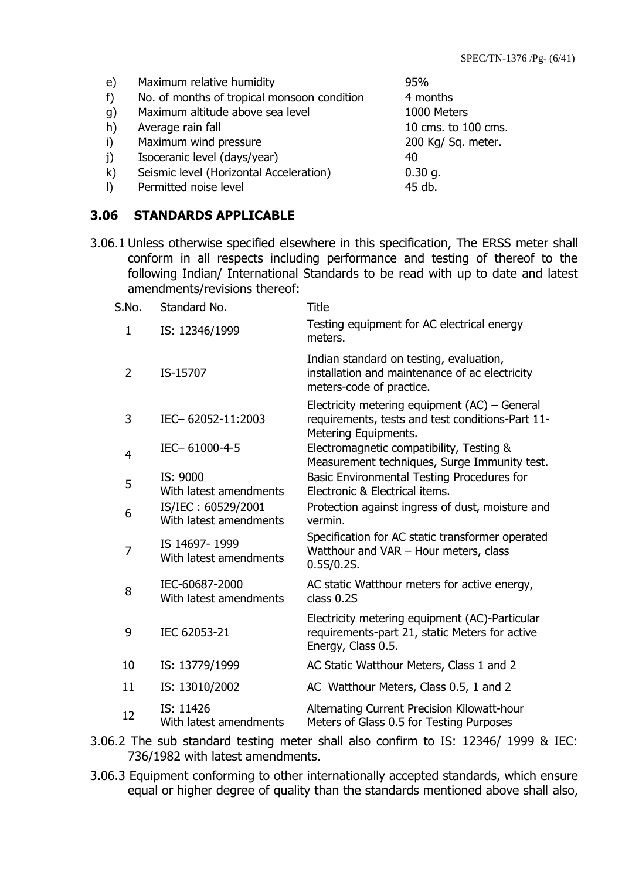| $\epsilon$<br>f)<br>g)<br>h)<br>i)<br>j) | Maximum relative humidity<br>No. of months of tropical monsoon condition<br>Maximum altitude above sea level<br>Average rain fall<br>Maximum wind pressure<br>Isoceranic level (days/year) | 95%<br>4 months<br>1000 Meters<br>10 cms. to 100 cms.<br>200 Kg/ Sq. meter.<br>40 |
|------------------------------------------|--------------------------------------------------------------------------------------------------------------------------------------------------------------------------------------------|-----------------------------------------------------------------------------------|
|                                          |                                                                                                                                                                                            |                                                                                   |
| $\mathsf{k}$                             | Seismic level (Horizontal Acceleration)                                                                                                                                                    | $0.30$ g.                                                                         |
| $\vert$                                  | Permitted noise level                                                                                                                                                                      | 45 db.                                                                            |

**3.06 STANDARDS APPLICABLE**

3.06.1 Unless otherwise specified elsewhere in this specification, The ERSS meter shall conform in all respects including performance and testing of thereof to the following Indian/ International Standards to be read with up to date and latest amendments/revisions thereof:

| S.No.          | Standard No.                                 | <b>Title</b>                                                                                                                |
|----------------|----------------------------------------------|-----------------------------------------------------------------------------------------------------------------------------|
| 1              | IS: 12346/1999                               | Testing equipment for AC electrical energy<br>meters.                                                                       |
| $\overline{2}$ | IS-15707                                     | Indian standard on testing, evaluation,<br>installation and maintenance of ac electricity<br>meters-code of practice.       |
| 3              | IEC-62052-11:2003                            | Electricity metering equipment $(AC)$ – General<br>requirements, tests and test conditions-Part 11-<br>Metering Equipments. |
| 4              | IEC-61000-4-5                                | Electromagnetic compatibility, Testing &<br>Measurement techniques, Surge Immunity test.                                    |
| 5              | IS: 9000<br>With latest amendments           | Basic Environmental Testing Procedures for<br>Electronic & Electrical items.                                                |
| 6              | IS/IEC: 60529/2001<br>With latest amendments | Protection against ingress of dust, moisture and<br>vermin.                                                                 |
| 7              | IS 14697-1999<br>With latest amendments      | Specification for AC static transformer operated<br>Watthour and VAR - Hour meters, class<br>0.5S/0.2S.                     |
| 8              | IEC-60687-2000<br>With latest amendments     | AC static Watthour meters for active energy,<br>class 0.2S                                                                  |
| 9              | IEC 62053-21                                 | Electricity metering equipment (AC)-Particular<br>requirements-part 21, static Meters for active<br>Energy, Class 0.5.      |
| 10             | IS: 13779/1999                               | AC Static Watthour Meters, Class 1 and 2                                                                                    |
| 11             | IS: 13010/2002                               | AC Watthour Meters, Class 0.5, 1 and 2                                                                                      |
| 12             | IS: 11426<br>With latest amendments          | Alternating Current Precision Kilowatt-hour<br>Meters of Glass 0.5 for Testing Purposes                                     |

3.06.2 The sub standard testing meter shall also confirm to IS: 12346/ 1999 & IEC: 736/1982 with latest amendments.

3.06.3 Equipment conforming to other internationally accepted standards, which ensure equal or higher degree of quality than the standards mentioned above shall also,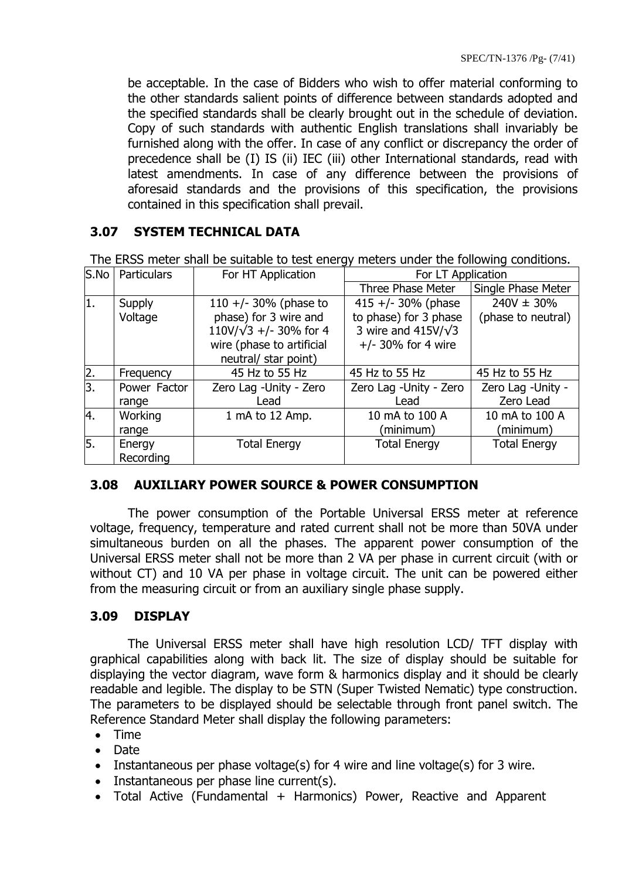be acceptable. In the case of Bidders who wish to offer material conforming to the other standards salient points of difference between standards adopted and the specified standards shall be clearly brought out in the schedule of deviation. Copy of such standards with authentic English translations shall invariably be furnished along with the offer. In case of any conflict or discrepancy the order of precedence shall be (I) IS (ii) IEC (iii) other International standards, read with latest amendments. In case of any difference between the provisions of aforesaid standards and the provisions of this specification, the provisions contained in this specification shall prevail.

## **3.07 SYSTEM TECHNICAL DATA**

S.No Particulars For HT Application For LT Application Three Phase Meter | Single Phase Meter 1. Supply Voltage  $110 + (-30)$ % (phase to phase) for 3 wire and 110V/√3 +/- 30% for 4 wire (phase to artificial neutral/ star point) 415 +/- 30% (phase to phase) for 3 phase 3 wire and 415V/√3 +/- 30% for 4 wire  $240V \pm 30\%$ (phase to neutral) Frequency  $\begin{array}{|l|l|}\n\end{array}$  45 Hz to 55 Hz  $\begin{array}{|l|l|}\n\end{array}$  45 Hz to 55 Hz  $\begin{array}{|l|l|}\n\end{array}$  45 Hz to 55 Hz 3. Power Factor range Zero Lag -Unity - Zero Lead Zero Lag -Unity - Zero Lead Zero Lag -Unity - Zero Lead 4. Working range 1 mA to 12 Amp. 10 mA to 100 A (minimum) 10 mA to 100 A (minimum) 5. Energy Recording Total Energy Total Energy Total Energy

The ERSS meter shall be suitable to test energy meters under the following conditions.

#### **3.08 AUXILIARY POWER SOURCE & POWER CONSUMPTION**

The power consumption of the Portable Universal ERSS meter at reference voltage, frequency, temperature and rated current shall not be more than 50VA under simultaneous burden on all the phases. The apparent power consumption of the Universal ERSS meter shall not be more than 2 VA per phase in current circuit (with or without CT) and 10 VA per phase in voltage circuit. The unit can be powered either from the measuring circuit or from an auxiliary single phase supply.

## **3.09 DISPLAY**

The Universal ERSS meter shall have high resolution LCD/ TFT display with graphical capabilities along with back lit. The size of display should be suitable for displaying the vector diagram, wave form & harmonics display and it should be clearly readable and legible. The display to be STN (Super Twisted Nematic) type construction. The parameters to be displayed should be selectable through front panel switch. The Reference Standard Meter shall display the following parameters:

- Time
- Date
- Instantaneous per phase voltage(s) for 4 wire and line voltage(s) for 3 wire.
- Instantaneous per phase line current(s).
- Total Active (Fundamental + Harmonics) Power, Reactive and Apparent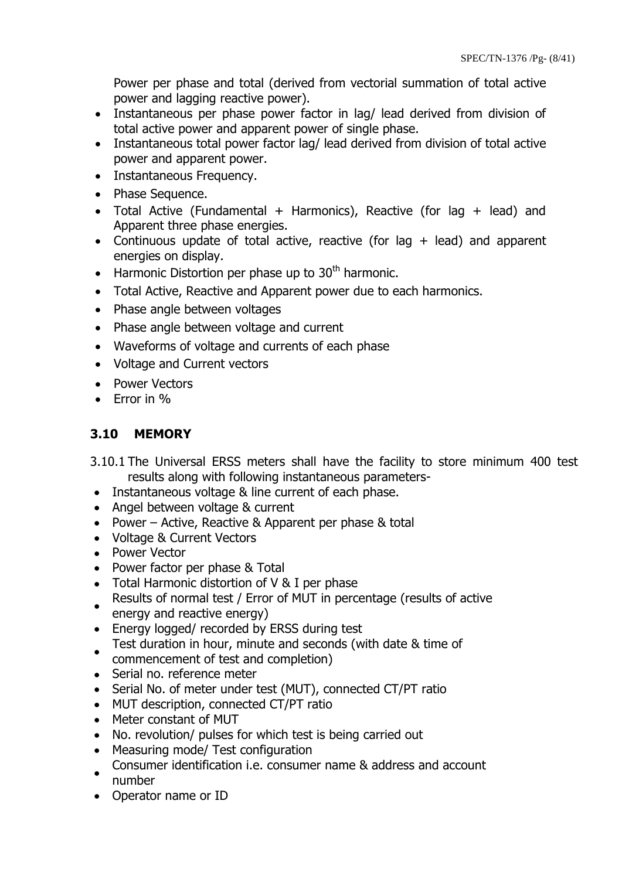Power per phase and total (derived from vectorial summation of total active power and lagging reactive power).

- Instantaneous per phase power factor in lag/ lead derived from division of total active power and apparent power of single phase.
- Instantaneous total power factor lag/ lead derived from division of total active power and apparent power.
- Instantaneous Frequency.
- Phase Sequence.
- Total Active (Fundamental + Harmonics), Reactive (for lag + lead) and Apparent three phase energies.
- Continuous update of total active, reactive (for lag  $+$  lead) and apparent energies on display.
- $\bullet$  Harmonic Distortion per phase up to 30<sup>th</sup> harmonic.
- Total Active, Reactive and Apparent power due to each harmonics.
- Phase angle between voltages
- Phase angle between voltage and current
- Waveforms of voltage and currents of each phase
- Voltage and Current vectors
- Power Vectors
- $\bullet$  Frror in  $\%$

# **3.10 MEMORY**

- 3.10.1 The Universal ERSS meters shall have the facility to store minimum 400 test results along with following instantaneous parameters-
- Instantaneous voltage & line current of each phase.
- Angel between voltage & current
- Power Active, Reactive & Apparent per phase & total
- Voltage & Current Vectors
- Power Vector
- Power factor per phase & Total
- Total Harmonic distortion of V & I per phase
- $\bullet$ Results of normal test / Error of MUT in percentage (results of active energy and reactive energy)
- Energy logged/ recorded by ERSS during test
- Test duration in hour, minute and seconds (with date & time of
- $\bullet$ commencement of test and completion)
- Serial no. reference meter
- Serial No. of meter under test (MUT), connected CT/PT ratio
- MUT description, connected CT/PT ratio
- Meter constant of MUT
- No. revolution/ pulses for which test is being carried out
- Measuring mode/ Test configuration
- $\bullet$ Consumer identification i.e. consumer name & address and account number
- Operator name or ID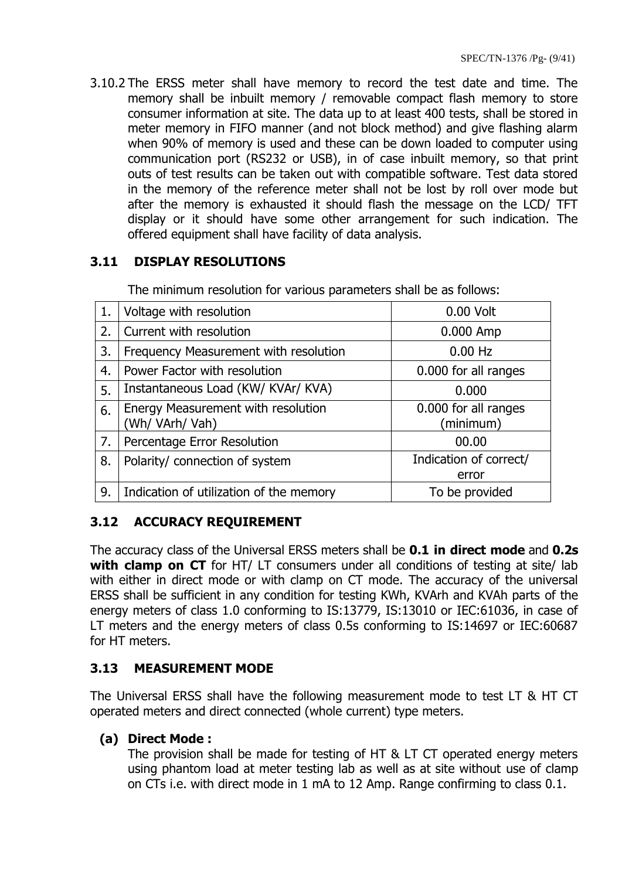3.10.2 The ERSS meter shall have memory to record the test date and time. The memory shall be inbuilt memory / removable compact flash memory to store consumer information at site. The data up to at least 400 tests, shall be stored in meter memory in FIFO manner (and not block method) and give flashing alarm when 90% of memory is used and these can be down loaded to computer using communication port (RS232 or USB), in of case inbuilt memory, so that print outs of test results can be taken out with compatible software. Test data stored in the memory of the reference meter shall not be lost by roll over mode but after the memory is exhausted it should flash the message on the LCD/ TFT display or it should have some other arrangement for such indication. The offered equipment shall have facility of data analysis.

# **3.11 DISPLAY RESOLUTIONS**

| 1. | Voltage with resolution                               | 0.00 Volt                         |  |
|----|-------------------------------------------------------|-----------------------------------|--|
| 2. | Current with resolution                               | 0.000 Amp                         |  |
| 3. | Frequency Measurement with resolution                 | $0.00$ Hz                         |  |
| 4. | Power Factor with resolution                          | 0.000 for all ranges              |  |
| 5. | Instantaneous Load (KW/ KVAr/ KVA)                    | 0.000                             |  |
| 6. | Energy Measurement with resolution<br>(Wh/ VArh/ Vah) | 0.000 for all ranges<br>(minimum) |  |
| 7. | Percentage Error Resolution                           | 00.00                             |  |
| 8. | Polarity/ connection of system                        | Indication of correct/<br>error   |  |
| 9. | Indication of utilization of the memory               | To be provided                    |  |

The minimum resolution for various parameters shall be as follows:

# **3.12 ACCURACY REQUIREMENT**

The accuracy class of the Universal ERSS meters shall be **0.1 in direct mode** and **0.2s with clamp on CT** for HT/LT consumers under all conditions of testing at site/lab with either in direct mode or with clamp on CT mode. The accuracy of the universal ERSS shall be sufficient in any condition for testing KWh, KVArh and KVAh parts of the energy meters of class 1.0 conforming to IS:13779, IS:13010 or IEC:61036, in case of LT meters and the energy meters of class 0.5s conforming to IS:14697 or IEC:60687 for HT meters.

# **3.13 MEASUREMENT MODE**

The Universal ERSS shall have the following measurement mode to test LT & HT CT operated meters and direct connected (whole current) type meters.

## **(a) Direct Mode :**

The provision shall be made for testing of HT & LT CT operated energy meters using phantom load at meter testing lab as well as at site without use of clamp on CTs i.e. with direct mode in 1 mA to 12 Amp. Range confirming to class 0.1.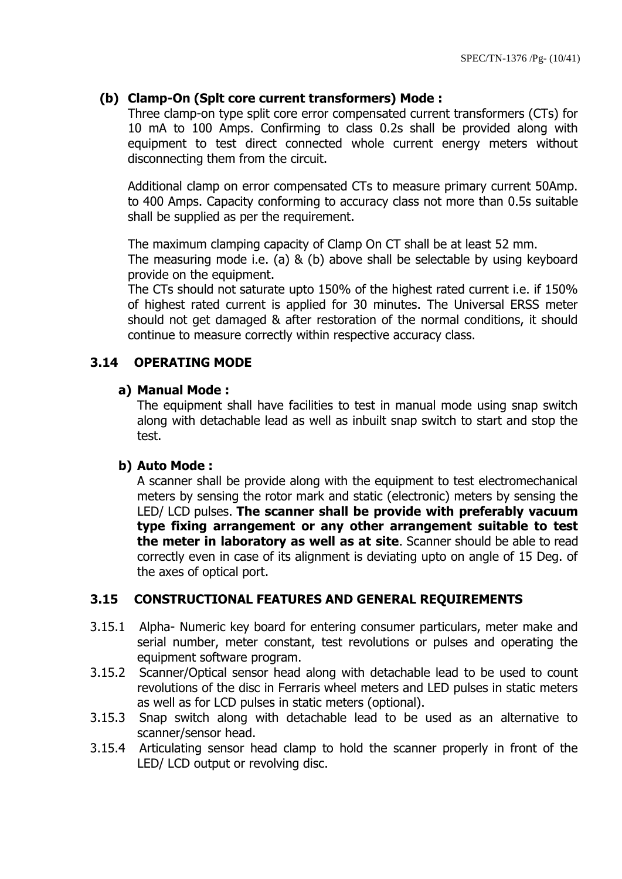## **(b) Clamp-On (Splt core current transformers) Mode :**

Three clamp-on type split core error compensated current transformers (CTs) for 10 mA to 100 Amps. Confirming to class 0.2s shall be provided along with equipment to test direct connected whole current energy meters without disconnecting them from the circuit.

Additional clamp on error compensated CTs to measure primary current 50Amp. to 400 Amps. Capacity conforming to accuracy class not more than 0.5s suitable shall be supplied as per the requirement.

The maximum clamping capacity of Clamp On CT shall be at least 52 mm.

The measuring mode i.e. (a) & (b) above shall be selectable by using keyboard provide on the equipment.

The CTs should not saturate upto 150% of the highest rated current i.e. if 150% of highest rated current is applied for 30 minutes. The Universal ERSS meter should not get damaged & after restoration of the normal conditions, it should continue to measure correctly within respective accuracy class.

## **3.14 OPERATING MODE**

#### **a) Manual Mode :**

The equipment shall have facilities to test in manual mode using snap switch along with detachable lead as well as inbuilt snap switch to start and stop the test.

#### **b) Auto Mode :**

A scanner shall be provide along with the equipment to test electromechanical meters by sensing the rotor mark and static (electronic) meters by sensing the LED/ LCD pulses. **The scanner shall be provide with preferably vacuum type fixing arrangement or any other arrangement suitable to test the meter in laboratory as well as at site**. Scanner should be able to read correctly even in case of its alignment is deviating upto on angle of 15 Deg. of the axes of optical port.

## **3.15 CONSTRUCTIONAL FEATURES AND GENERAL REQUIREMENTS**

- 3.15.1 Alpha- Numeric key board for entering consumer particulars, meter make and serial number, meter constant, test revolutions or pulses and operating the equipment software program.
- 3.15.2 Scanner/Optical sensor head along with detachable lead to be used to count revolutions of the disc in Ferraris wheel meters and LED pulses in static meters as well as for LCD pulses in static meters (optional).
- 3.15.3 Snap switch along with detachable lead to be used as an alternative to scanner/sensor head.
- 3.15.4 Articulating sensor head clamp to hold the scanner properly in front of the LED/ LCD output or revolving disc.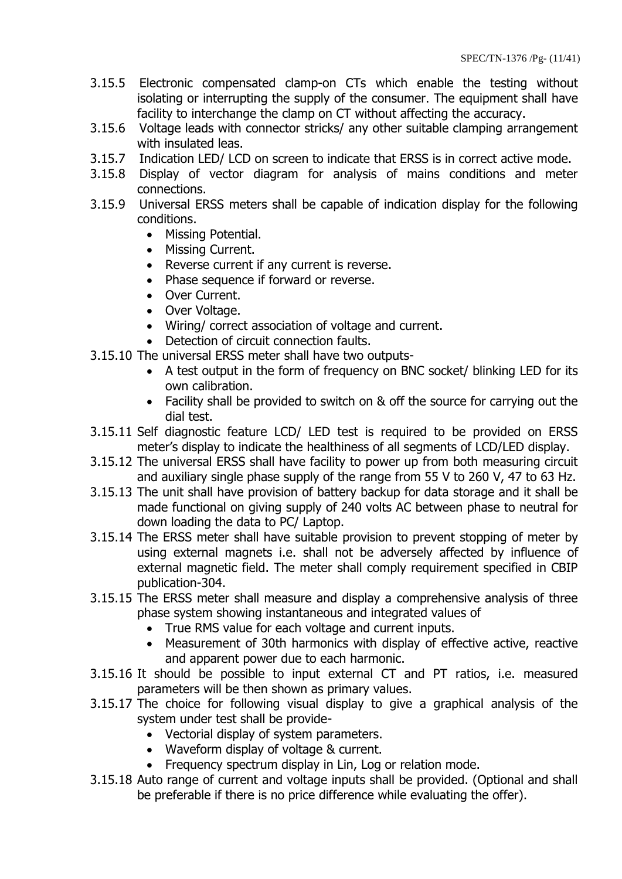- 3.15.5 Electronic compensated clamp-on CTs which enable the testing without isolating or interrupting the supply of the consumer. The equipment shall have facility to interchange the clamp on CT without affecting the accuracy.
- 3.15.6 Voltage leads with connector stricks/ any other suitable clamping arrangement with insulated leas.
- 3.15.7 Indication LED/ LCD on screen to indicate that ERSS is in correct active mode.
- 3.15.8 Display of vector diagram for analysis of mains conditions and meter connections.
- 3.15.9 Universal ERSS meters shall be capable of indication display for the following conditions.
	- Missing Potential.
	- Missing Current.
	- Reverse current if any current is reverse.
	- Phase sequence if forward or reverse.
	- Over Current.
	- Over Voltage.
	- Wiring/ correct association of voltage and current.
	- Detection of circuit connection faults.
- 3.15.10 The universal ERSS meter shall have two outputs-
	- A test output in the form of frequency on BNC socket/ blinking LED for its own calibration.
	- Facility shall be provided to switch on & off the source for carrying out the dial test.
- 3.15.11 Self diagnostic feature LCD/ LED test is required to be provided on ERSS meter"s display to indicate the healthiness of all segments of LCD/LED display.
- 3.15.12 The universal ERSS shall have facility to power up from both measuring circuit and auxiliary single phase supply of the range from 55 V to 260 V, 47 to 63 Hz.
- 3.15.13 The unit shall have provision of battery backup for data storage and it shall be made functional on giving supply of 240 volts AC between phase to neutral for down loading the data to PC/ Laptop.
- 3.15.14 The ERSS meter shall have suitable provision to prevent stopping of meter by using external magnets i.e. shall not be adversely affected by influence of external magnetic field. The meter shall comply requirement specified in CBIP publication-304.
- 3.15.15 The ERSS meter shall measure and display a comprehensive analysis of three phase system showing instantaneous and integrated values of
	- True RMS value for each voltage and current inputs.
	- Measurement of 30th harmonics with display of effective active, reactive and apparent power due to each harmonic.
- 3.15.16 It should be possible to input external CT and PT ratios, i.e. measured parameters will be then shown as primary values.
- 3.15.17 The choice for following visual display to give a graphical analysis of the system under test shall be provide-
	- Vectorial display of system parameters.
	- Waveform display of voltage & current.
	- Frequency spectrum display in Lin, Log or relation mode.
- 3.15.18 Auto range of current and voltage inputs shall be provided. (Optional and shall be preferable if there is no price difference while evaluating the offer).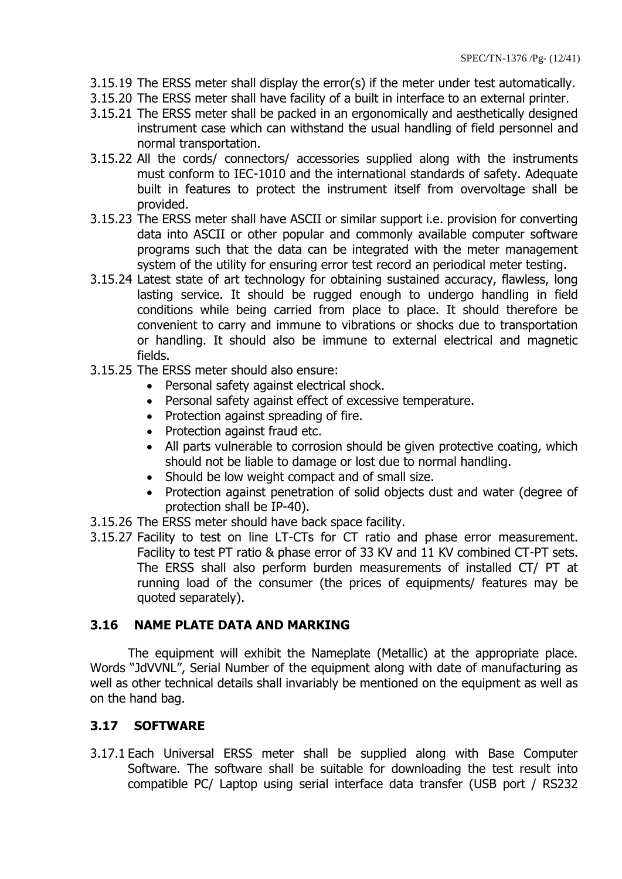- 3.15.19 The ERSS meter shall display the error(s) if the meter under test automatically.
- 3.15.20 The ERSS meter shall have facility of a built in interface to an external printer.
- 3.15.21 The ERSS meter shall be packed in an ergonomically and aesthetically designed instrument case which can withstand the usual handling of field personnel and normal transportation.
- 3.15.22 All the cords/ connectors/ accessories supplied along with the instruments must conform to IEC-1010 and the international standards of safety. Adequate built in features to protect the instrument itself from overvoltage shall be provided.
- 3.15.23 The ERSS meter shall have ASCII or similar support i.e. provision for converting data into ASCII or other popular and commonly available computer software programs such that the data can be integrated with the meter management system of the utility for ensuring error test record an periodical meter testing.
- 3.15.24 Latest state of art technology for obtaining sustained accuracy, flawless, long lasting service. It should be rugged enough to undergo handling in field conditions while being carried from place to place. It should therefore be convenient to carry and immune to vibrations or shocks due to transportation or handling. It should also be immune to external electrical and magnetic fields.
- 3.15.25 The ERSS meter should also ensure:
	- Personal safety against electrical shock.
	- Personal safety against effect of excessive temperature.
	- Protection against spreading of fire.
	- Protection against fraud etc.
	- All parts vulnerable to corrosion should be given protective coating, which should not be liable to damage or lost due to normal handling.
	- Should be low weight compact and of small size.
	- Protection against penetration of solid objects dust and water (degree of protection shall be IP-40).
- 3.15.26 The ERSS meter should have back space facility.
- 3.15.27 Facility to test on line LT-CTs for CT ratio and phase error measurement. Facility to test PT ratio & phase error of 33 KV and 11 KV combined CT-PT sets. The ERSS shall also perform burden measurements of installed CT/ PT at running load of the consumer (the prices of equipments/ features may be quoted separately).

## **3.16 NAME PLATE DATA AND MARKING**

The equipment will exhibit the Nameplate (Metallic) at the appropriate place. Words "JdVVNL", Serial Number of the equipment along with date of manufacturing as well as other technical details shall invariably be mentioned on the equipment as well as on the hand bag.

## **3.17 SOFTWARE**

3.17.1 Each Universal ERSS meter shall be supplied along with Base Computer Software. The software shall be suitable for downloading the test result into compatible PC/ Laptop using serial interface data transfer (USB port / RS232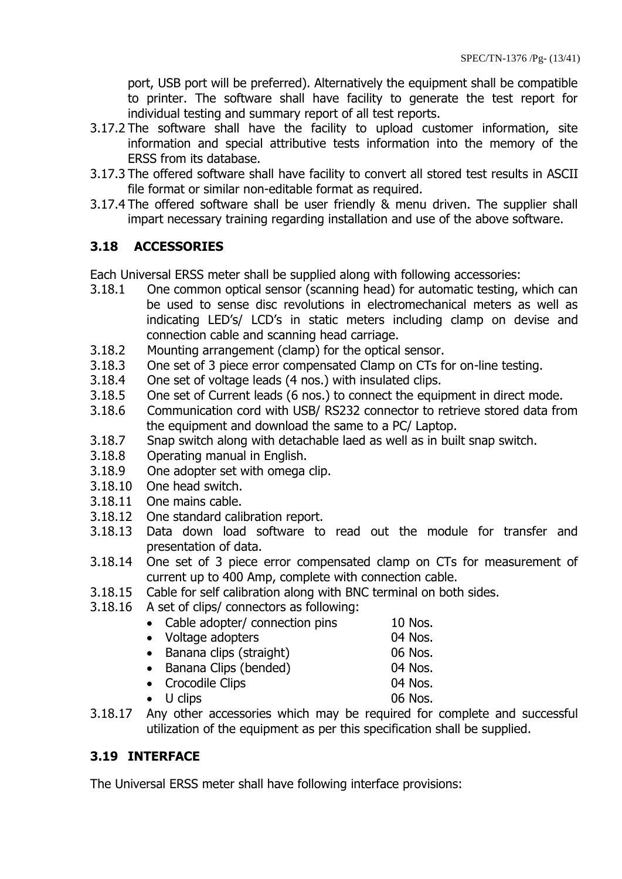port, USB port will be preferred). Alternatively the equipment shall be compatible to printer. The software shall have facility to generate the test report for individual testing and summary report of all test reports.

- 3.17.2 The software shall have the facility to upload customer information, site information and special attributive tests information into the memory of the ERSS from its database.
- 3.17.3 The offered software shall have facility to convert all stored test results in ASCII file format or similar non-editable format as required.
- 3.17.4 The offered software shall be user friendly & menu driven. The supplier shall impart necessary training regarding installation and use of the above software.

# **3.18 ACCESSORIES**

Each Universal ERSS meter shall be supplied along with following accessories:

- 3.18.1 One common optical sensor (scanning head) for automatic testing, which can be used to sense disc revolutions in electromechanical meters as well as indicating LED"s/ LCD"s in static meters including clamp on devise and connection cable and scanning head carriage.
- 3.18.2 Mounting arrangement (clamp) for the optical sensor.
- 3.18.3 One set of 3 piece error compensated Clamp on CTs for on-line testing.
- 3.18.4 One set of voltage leads (4 nos.) with insulated clips.
- 3.18.5 One set of Current leads (6 nos.) to connect the equipment in direct mode.
- 3.18.6 Communication cord with USB/ RS232 connector to retrieve stored data from the equipment and download the same to a PC/ Laptop.
- 3.18.7 Snap switch along with detachable laed as well as in built snap switch.
- 3.18.8 Operating manual in English.
- 3.18.9 One adopter set with omega clip.
- 3.18.10 One head switch.
- 3.18.11 One mains cable.
- 3.18.12 One standard calibration report.
- 3.18.13 Data down load software to read out the module for transfer and presentation of data.
- 3.18.14 One set of 3 piece error compensated clamp on CTs for measurement of current up to 400 Amp, complete with connection cable.
- 3.18.15 Cable for self calibration along with BNC terminal on both sides.
- 3.18.16 A set of clips/ connectors as following:
	- Cable adopter/ connection pins 10 Nos.
	- Voltage adopters 04 Nos.
	- Banana clips (straight) 06 Nos.
	- Banana Clips (bended) 04 Nos.
	- Crocodile Clips 04 Nos.
		-
	- U clips 06 Nos.
- 3.18.17 Any other accessories which may be required for complete and successful utilization of the equipment as per this specification shall be supplied.

# **3.19 INTERFACE**

The Universal ERSS meter shall have following interface provisions: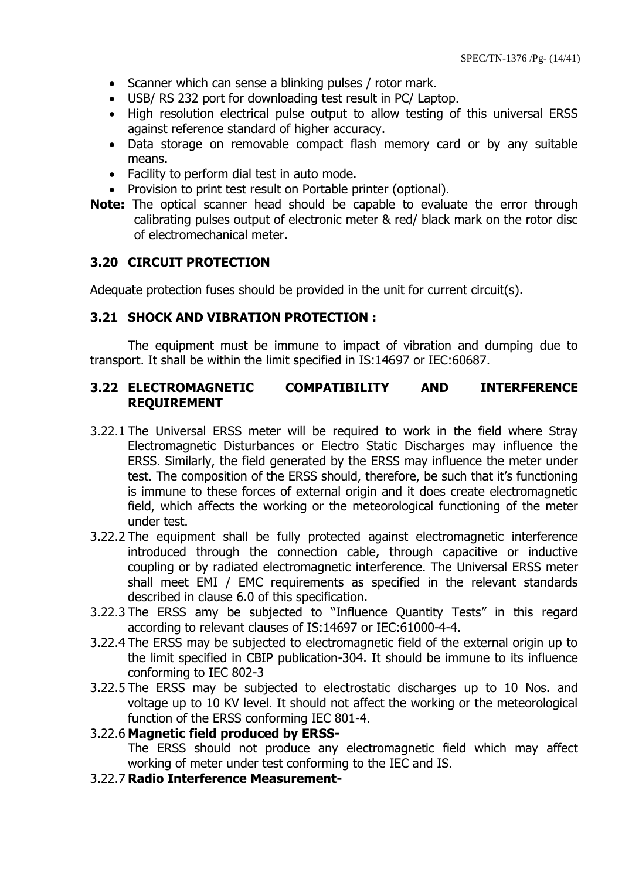- Scanner which can sense a blinking pulses / rotor mark.
- USB/ RS 232 port for downloading test result in PC/ Laptop.
- High resolution electrical pulse output to allow testing of this universal ERSS against reference standard of higher accuracy.
- Data storage on removable compact flash memory card or by any suitable means.
- Facility to perform dial test in auto mode.
- Provision to print test result on Portable printer (optional).
- **Note:** The optical scanner head should be capable to evaluate the error through calibrating pulses output of electronic meter & red/ black mark on the rotor disc of electromechanical meter.

## **3.20 CIRCUIT PROTECTION**

Adequate protection fuses should be provided in the unit for current circuit(s).

## **3.21 SHOCK AND VIBRATION PROTECTION :**

The equipment must be immune to impact of vibration and dumping due to transport. It shall be within the limit specified in IS:14697 or IEC:60687.

## **3.22 ELECTROMAGNETIC COMPATIBILITY AND INTERFERENCE REQUIREMENT**

- 3.22.1 The Universal ERSS meter will be required to work in the field where Stray Electromagnetic Disturbances or Electro Static Discharges may influence the ERSS. Similarly, the field generated by the ERSS may influence the meter under test. The composition of the ERSS should, therefore, be such that it"s functioning is immune to these forces of external origin and it does create electromagnetic field, which affects the working or the meteorological functioning of the meter under test.
- 3.22.2 The equipment shall be fully protected against electromagnetic interference introduced through the connection cable, through capacitive or inductive coupling or by radiated electromagnetic interference. The Universal ERSS meter shall meet EMI / EMC requirements as specified in the relevant standards described in clause 6.0 of this specification.
- 3.22.3 The ERSS amy be subjected to "Influence Quantity Tests" in this regard according to relevant clauses of IS:14697 or IEC:61000-4-4.
- 3.22.4 The ERSS may be subjected to electromagnetic field of the external origin up to the limit specified in CBIP publication-304. It should be immune to its influence conforming to IEC 802-3
- 3.22.5 The ERSS may be subjected to electrostatic discharges up to 10 Nos. and voltage up to 10 KV level. It should not affect the working or the meteorological function of the ERSS conforming IEC 801-4.

#### 3.22.6 **Magnetic field produced by ERSS-**

The ERSS should not produce any electromagnetic field which may affect working of meter under test conforming to the IEC and IS.

3.22.7 **Radio Interference Measurement-**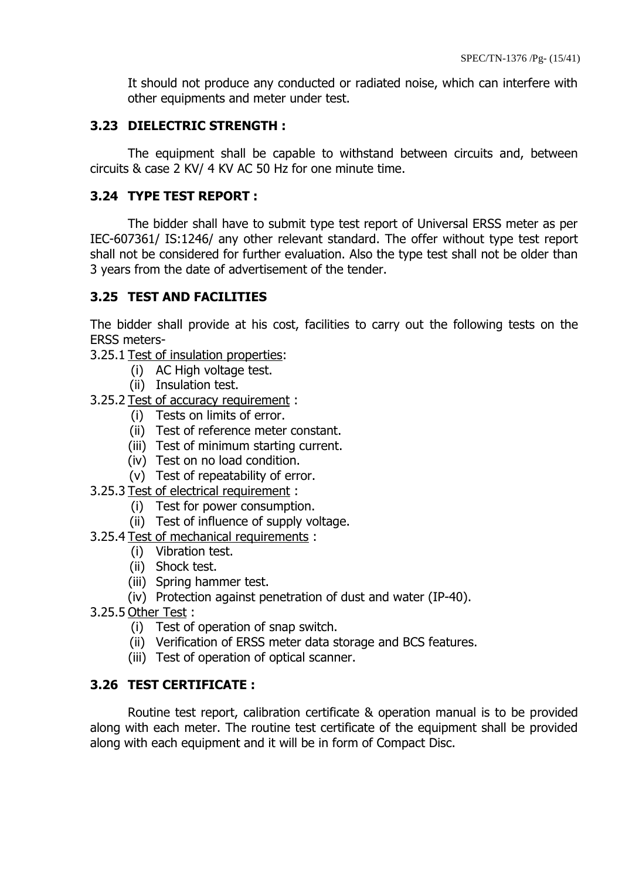It should not produce any conducted or radiated noise, which can interfere with other equipments and meter under test.

## **3.23 DIELECTRIC STRENGTH :**

The equipment shall be capable to withstand between circuits and, between circuits & case 2 KV/ 4 KV AC 50 Hz for one minute time.

## **3.24 TYPE TEST REPORT :**

The bidder shall have to submit type test report of Universal ERSS meter as per IEC-607361/ IS:1246/ any other relevant standard. The offer without type test report shall not be considered for further evaluation. Also the type test shall not be older than 3 years from the date of advertisement of the tender.

## **3.25 TEST AND FACILITIES**

The bidder shall provide at his cost, facilities to carry out the following tests on the ERSS meters-

- 3.25.1 Test of insulation properties:
	- (i) AC High voltage test.
	- (ii) Insulation test.
- 3.25.2 Test of accuracy requirement :
	- (i) Tests on limits of error.
	- (ii) Test of reference meter constant.
	- (iii) Test of minimum starting current.
	- (iv) Test on no load condition.
	- (v) Test of repeatability of error.
- 3.25.3 Test of electrical requirement :
	- (i) Test for power consumption.
	- (ii) Test of influence of supply voltage.
- 3.25.4 Test of mechanical requirements :
	- (i) Vibration test.
	- (ii) Shock test.
	- (iii) Spring hammer test.
	- (iv) Protection against penetration of dust and water (IP-40).
- 3.25.5 Other Test :
	- (i) Test of operation of snap switch.
	- (ii) Verification of ERSS meter data storage and BCS features.
	- (iii) Test of operation of optical scanner.

## **3.26 TEST CERTIFICATE :**

Routine test report, calibration certificate & operation manual is to be provided along with each meter. The routine test certificate of the equipment shall be provided along with each equipment and it will be in form of Compact Disc.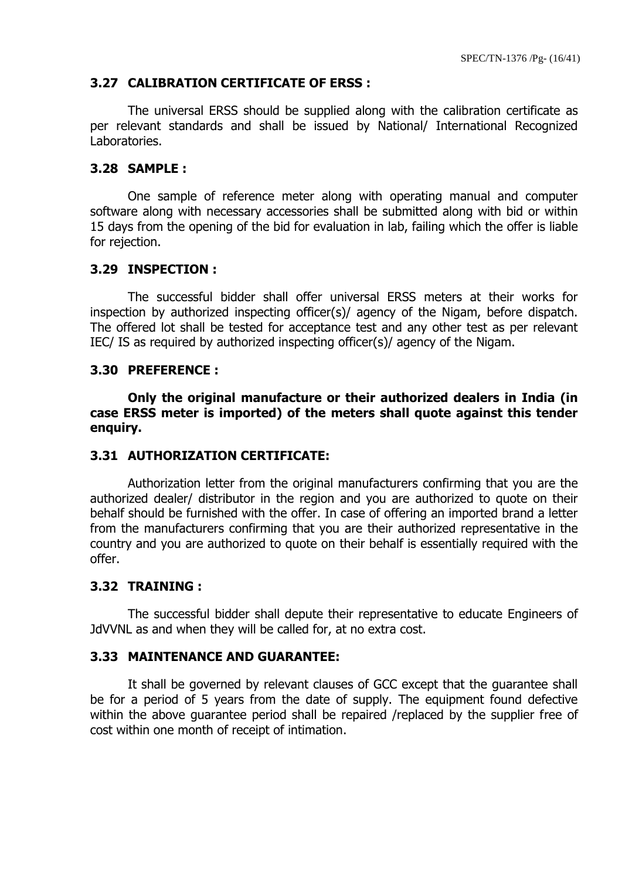## **3.27 CALIBRATION CERTIFICATE OF ERSS :**

The universal ERSS should be supplied along with the calibration certificate as per relevant standards and shall be issued by National/ International Recognized Laboratories.

#### **3.28 SAMPLE :**

One sample of reference meter along with operating manual and computer software along with necessary accessories shall be submitted along with bid or within 15 days from the opening of the bid for evaluation in lab, failing which the offer is liable for rejection.

#### **3.29 INSPECTION :**

The successful bidder shall offer universal ERSS meters at their works for inspection by authorized inspecting officer(s)/ agency of the Nigam, before dispatch. The offered lot shall be tested for acceptance test and any other test as per relevant IEC/ IS as required by authorized inspecting officer(s)/ agency of the Nigam.

#### **3.30 PREFERENCE :**

**Only the original manufacture or their authorized dealers in India (in case ERSS meter is imported) of the meters shall quote against this tender enquiry.**

#### **3.31 AUTHORIZATION CERTIFICATE:**

Authorization letter from the original manufacturers confirming that you are the authorized dealer/ distributor in the region and you are authorized to quote on their behalf should be furnished with the offer. In case of offering an imported brand a letter from the manufacturers confirming that you are their authorized representative in the country and you are authorized to quote on their behalf is essentially required with the offer.

#### **3.32 TRAINING :**

The successful bidder shall depute their representative to educate Engineers of JdVVNL as and when they will be called for, at no extra cost.

#### **3.33 MAINTENANCE AND GUARANTEE:**

It shall be governed by relevant clauses of GCC except that the guarantee shall be for a period of 5 years from the date of supply. The equipment found defective within the above guarantee period shall be repaired /replaced by the supplier free of cost within one month of receipt of intimation.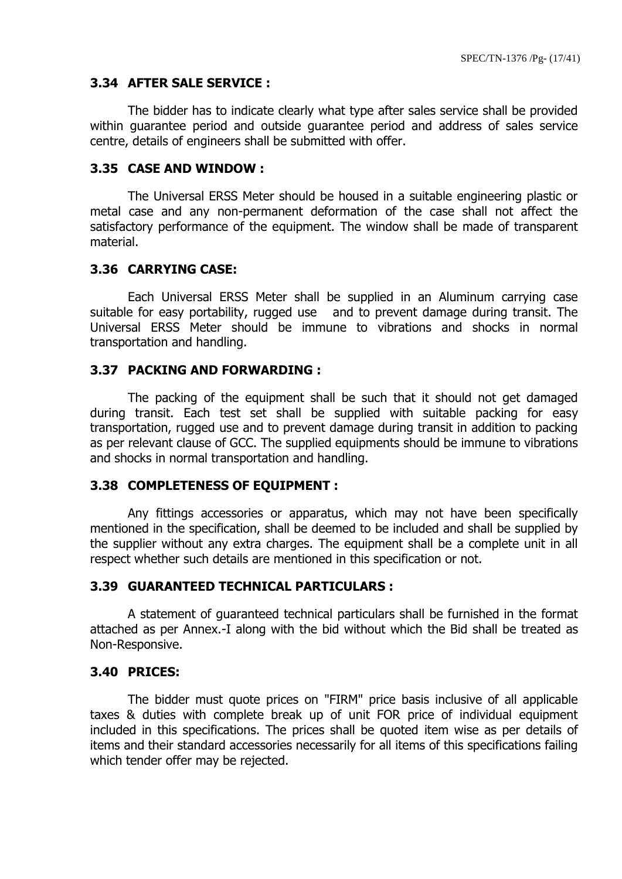#### **3.34 AFTER SALE SERVICE :**

The bidder has to indicate clearly what type after sales service shall be provided within guarantee period and outside guarantee period and address of sales service centre, details of engineers shall be submitted with offer.

#### **3.35 CASE AND WINDOW :**

The Universal ERSS Meter should be housed in a suitable engineering plastic or metal case and any non-permanent deformation of the case shall not affect the satisfactory performance of the equipment. The window shall be made of transparent material.

#### **3.36 CARRYING CASE:**

Each Universal ERSS Meter shall be supplied in an Aluminum carrying case suitable for easy portability, rugged use and to prevent damage during transit. The Universal ERSS Meter should be immune to vibrations and shocks in normal transportation and handling.

#### **3.37 PACKING AND FORWARDING :**

The packing of the equipment shall be such that it should not get damaged during transit. Each test set shall be supplied with suitable packing for easy transportation, rugged use and to prevent damage during transit in addition to packing as per relevant clause of GCC. The supplied equipments should be immune to vibrations and shocks in normal transportation and handling.

#### **3.38 COMPLETENESS OF EQUIPMENT :**

Any fittings accessories or apparatus, which may not have been specifically mentioned in the specification, shall be deemed to be included and shall be supplied by the supplier without any extra charges. The equipment shall be a complete unit in all respect whether such details are mentioned in this specification or not.

#### **3.39 GUARANTEED TECHNICAL PARTICULARS :**

A statement of guaranteed technical particulars shall be furnished in the format attached as per Annex.-I along with the bid without which the Bid shall be treated as Non-Responsive.

#### **3.40 PRICES:**

The bidder must quote prices on "FIRM" price basis inclusive of all applicable taxes & duties with complete break up of unit FOR price of individual equipment included in this specifications. The prices shall be quoted item wise as per details of items and their standard accessories necessarily for all items of this specifications failing which tender offer may be rejected.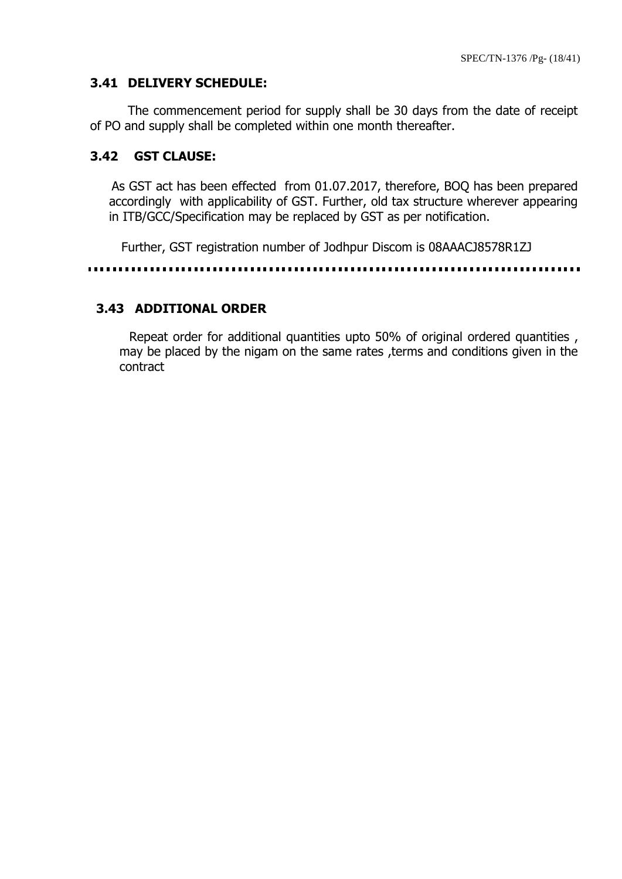#### **3.41 DELIVERY SCHEDULE:**

The commencement period for supply shall be 30 days from the date of receipt of PO and supply shall be completed within one month thereafter.

#### **3.42 GST CLAUSE:**

As GST act has been effected from 01.07.2017, therefore, BOQ has been prepared accordingly with applicability of GST. Further, old tax structure wherever appearing in ITB/GCC/Specification may be replaced by GST as per notification.

Further, GST registration number of Jodhpur Discom is 08AAACJ8578R1ZJ

#### **3.43 ADDITIONAL ORDER**

 Repeat order for additional quantities upto 50% of original ordered quantities , may be placed by the nigam on the same rates ,terms and conditions given in the contract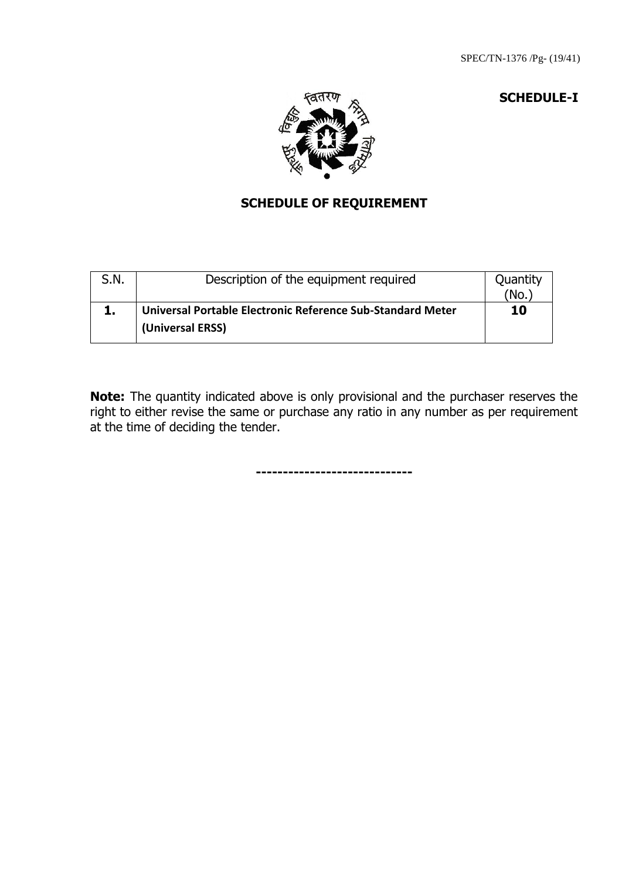#### **SCHEDULE-I**



# **SCHEDULE OF REQUIREMENT**

| S.N. | Description of the equipment required                                          | Quantity<br>(No. |
|------|--------------------------------------------------------------------------------|------------------|
|      | Universal Portable Electronic Reference Sub-Standard Meter<br>(Universal ERSS) | 10               |

**Note:** The quantity indicated above is only provisional and the purchaser reserves the right to either revise the same or purchase any ratio in any number as per requirement at the time of deciding the tender.

**-----------------------------**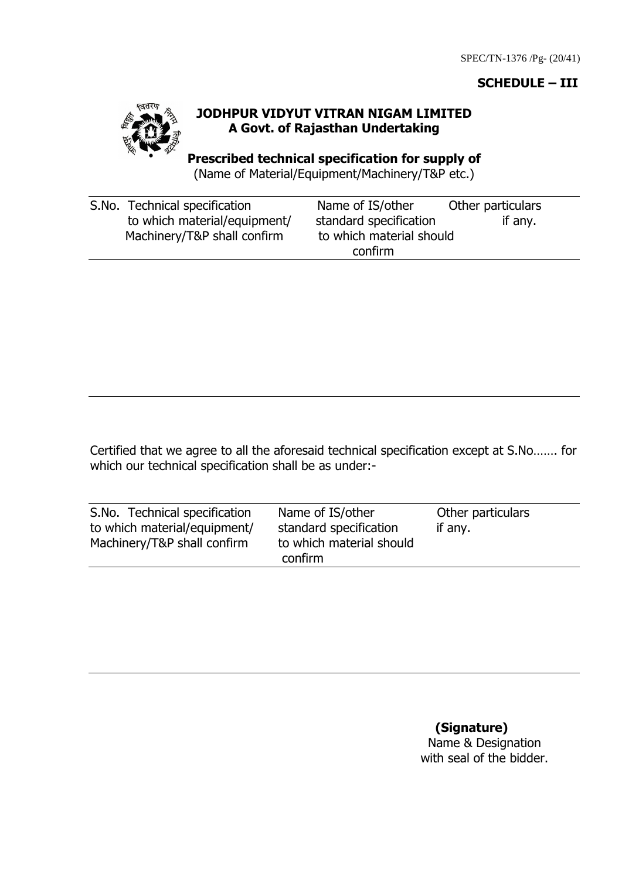## **SCHEDULE – III**



## **JODHPUR VIDYUT VITRAN NIGAM LIMITED A Govt. of Rajasthan Undertaking**

**Prescribed technical specification for supply of**  (Name of Material/Equipment/Machinery/T&P etc.)

| S.No. Technical specification | Name of IS/other         | Other particulars |
|-------------------------------|--------------------------|-------------------|
| to which material/equipment/  | standard specification   | if any.           |
| Machinery/T&P shall confirm   | to which material should |                   |
|                               | confirm                  |                   |

Certified that we agree to all the aforesaid technical specification except at S.No……. for which our technical specification shall be as under:-

| S.No. Technical specification | Name of IS/other         | Other particulars |
|-------------------------------|--------------------------|-------------------|
| to which material/equipment/  | standard specification   | if any.           |
| Machinery/T&P shall confirm   | to which material should |                   |
|                               | confirm                  |                   |

**(Signature)**

Name & Designation with seal of the bidder.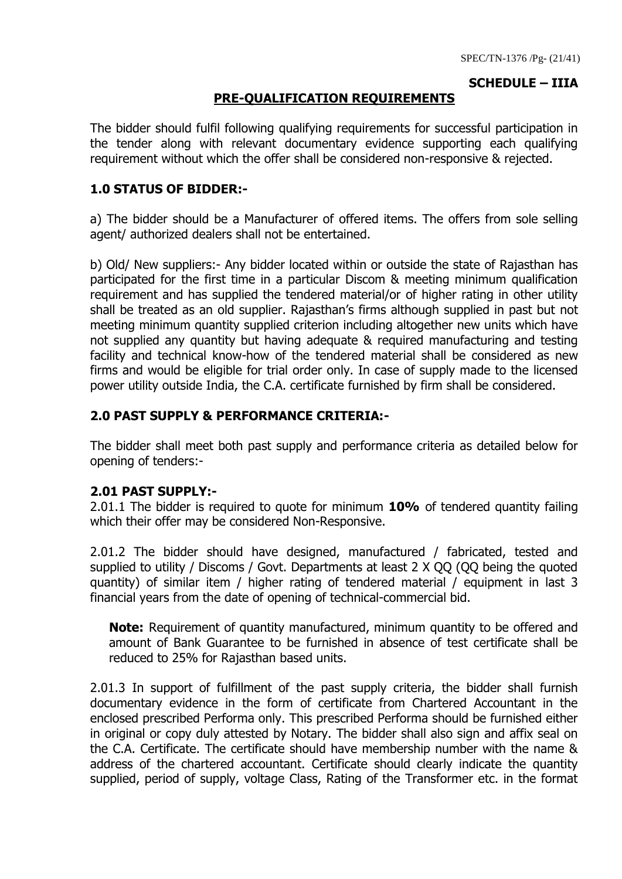## **SCHEDULE – IIIA**

## **PRE-QUALIFICATION REQUIREMENTS**

The bidder should fulfil following qualifying requirements for successful participation in the tender along with relevant documentary evidence supporting each qualifying requirement without which the offer shall be considered non-responsive & rejected.

## **1.0 STATUS OF BIDDER:-**

a) The bidder should be a Manufacturer of offered items. The offers from sole selling agent/ authorized dealers shall not be entertained.

b) Old/ New suppliers:- Any bidder located within or outside the state of Rajasthan has participated for the first time in a particular Discom & meeting minimum qualification requirement and has supplied the tendered material/or of higher rating in other utility shall be treated as an old supplier. Rajasthan"s firms although supplied in past but not meeting minimum quantity supplied criterion including altogether new units which have not supplied any quantity but having adequate & required manufacturing and testing facility and technical know-how of the tendered material shall be considered as new firms and would be eligible for trial order only. In case of supply made to the licensed power utility outside India, the C.A. certificate furnished by firm shall be considered.

## **2.0 PAST SUPPLY & PERFORMANCE CRITERIA:-**

The bidder shall meet both past supply and performance criteria as detailed below for opening of tenders:-

## **2.01 PAST SUPPLY:-**

2.01.1 The bidder is required to quote for minimum **10%** of tendered quantity failing which their offer may be considered Non-Responsive.

2.01.2 The bidder should have designed, manufactured / fabricated, tested and supplied to utility / Discoms / Govt. Departments at least 2 X 00 (00 being the quoted quantity) of similar item / higher rating of tendered material / equipment in last 3 financial years from the date of opening of technical-commercial bid.

**Note:** Requirement of quantity manufactured, minimum quantity to be offered and amount of Bank Guarantee to be furnished in absence of test certificate shall be reduced to 25% for Rajasthan based units.

2.01.3 In support of fulfillment of the past supply criteria, the bidder shall furnish documentary evidence in the form of certificate from Chartered Accountant in the enclosed prescribed Performa only. This prescribed Performa should be furnished either in original or copy duly attested by Notary. The bidder shall also sign and affix seal on the C.A. Certificate. The certificate should have membership number with the name & address of the chartered accountant. Certificate should clearly indicate the quantity supplied, period of supply, voltage Class, Rating of the Transformer etc. in the format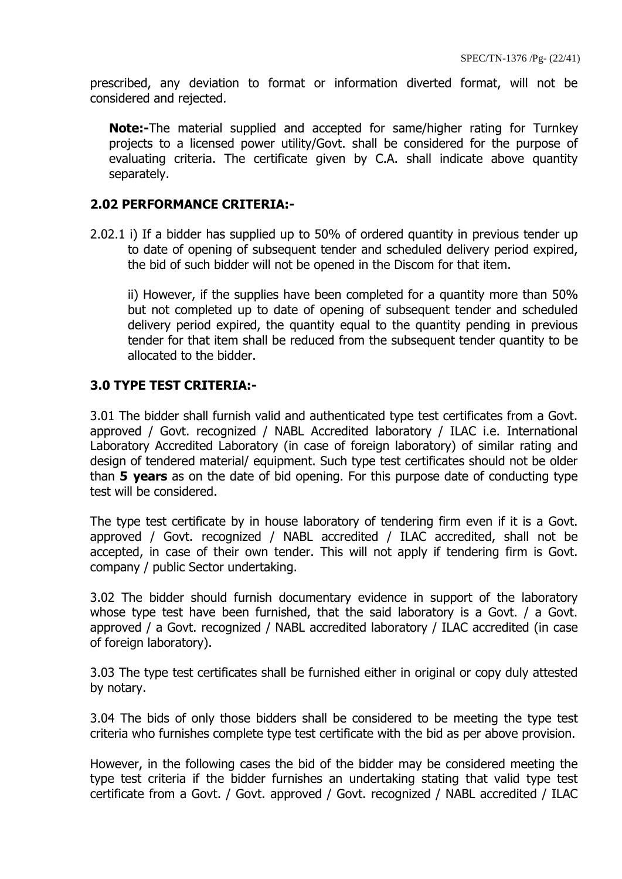prescribed, any deviation to format or information diverted format, will not be considered and rejected.

**Note:-**The material supplied and accepted for same/higher rating for Turnkey projects to a licensed power utility/Govt. shall be considered for the purpose of evaluating criteria. The certificate given by C.A. shall indicate above quantity separately.

#### **2.02 PERFORMANCE CRITERIA:-**

2.02.1 i) If a bidder has supplied up to 50% of ordered quantity in previous tender up to date of opening of subsequent tender and scheduled delivery period expired, the bid of such bidder will not be opened in the Discom for that item.

ii) However, if the supplies have been completed for a quantity more than 50% but not completed up to date of opening of subsequent tender and scheduled delivery period expired, the quantity equal to the quantity pending in previous tender for that item shall be reduced from the subsequent tender quantity to be allocated to the bidder.

#### **3.0 TYPE TEST CRITERIA:-**

3.01 The bidder shall furnish valid and authenticated type test certificates from a Govt. approved / Govt. recognized / NABL Accredited laboratory / ILAC i.e. International Laboratory Accredited Laboratory (in case of foreign laboratory) of similar rating and design of tendered material/ equipment. Such type test certificates should not be older than **5 years** as on the date of bid opening. For this purpose date of conducting type test will be considered.

The type test certificate by in house laboratory of tendering firm even if it is a Govt. approved / Govt. recognized / NABL accredited / ILAC accredited, shall not be accepted, in case of their own tender. This will not apply if tendering firm is Govt. company / public Sector undertaking.

3.02 The bidder should furnish documentary evidence in support of the laboratory whose type test have been furnished, that the said laboratory is a Govt. / a Govt. approved / a Govt. recognized / NABL accredited laboratory / ILAC accredited (in case of foreign laboratory).

3.03 The type test certificates shall be furnished either in original or copy duly attested by notary.

3.04 The bids of only those bidders shall be considered to be meeting the type test criteria who furnishes complete type test certificate with the bid as per above provision.

However, in the following cases the bid of the bidder may be considered meeting the type test criteria if the bidder furnishes an undertaking stating that valid type test certificate from a Govt. / Govt. approved / Govt. recognized / NABL accredited / ILAC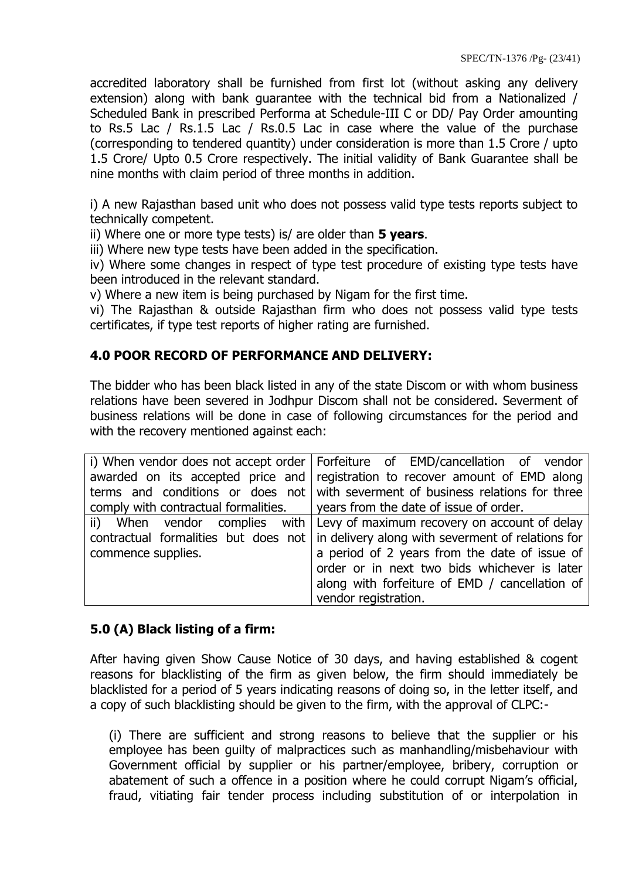accredited laboratory shall be furnished from first lot (without asking any delivery extension) along with bank guarantee with the technical bid from a Nationalized / Scheduled Bank in prescribed Performa at Schedule-III C or DD/ Pay Order amounting to Rs.5 Lac / Rs.1.5 Lac / Rs.0.5 Lac in case where the value of the purchase (corresponding to tendered quantity) under consideration is more than 1.5 Crore / upto 1.5 Crore/ Upto 0.5 Crore respectively. The initial validity of Bank Guarantee shall be nine months with claim period of three months in addition.

i) A new Rajasthan based unit who does not possess valid type tests reports subject to technically competent.

ii) Where one or more type tests) is/ are older than **5 years**.

iii) Where new type tests have been added in the specification.

iv) Where some changes in respect of type test procedure of existing type tests have been introduced in the relevant standard.

v) Where a new item is being purchased by Nigam for the first time.

vi) The Rajasthan & outside Rajasthan firm who does not possess valid type tests certificates, if type test reports of higher rating are furnished.

## **4.0 POOR RECORD OF PERFORMANCE AND DELIVERY:**

The bidder who has been black listed in any of the state Discom or with whom business relations have been severed in Jodhpur Discom shall not be considered. Severment of business relations will be done in case of following circumstances for the period and with the recovery mentioned against each:

|                                                                                     | i) When vendor does not accept order   Forfeiture of EMD/cancellation of vendor                |  |  |
|-------------------------------------------------------------------------------------|------------------------------------------------------------------------------------------------|--|--|
|                                                                                     | awarded on its accepted price and registration to recover amount of EMD along                  |  |  |
|                                                                                     | terms and conditions or does not with severment of business relations for three                |  |  |
| comply with contractual formalities. $\vert$ years from the date of issue of order. |                                                                                                |  |  |
|                                                                                     | ii) When vendor complies with Levy of maximum recovery on account of delay                     |  |  |
|                                                                                     | contractual formalities but does not $\vert$ in delivery along with severment of relations for |  |  |
| commence supplies.                                                                  | a period of 2 years from the date of issue of                                                  |  |  |
|                                                                                     | order or in next two bids whichever is later                                                   |  |  |
|                                                                                     | along with forfeiture of EMD / cancellation of                                                 |  |  |
|                                                                                     | vendor registration.                                                                           |  |  |

## **5.0 (A) Black listing of a firm:**

After having given Show Cause Notice of 30 days, and having established & cogent reasons for blacklisting of the firm as given below, the firm should immediately be blacklisted for a period of 5 years indicating reasons of doing so, in the letter itself, and a copy of such blacklisting should be given to the firm, with the approval of CLPC:-

(i) There are sufficient and strong reasons to believe that the supplier or his employee has been guilty of malpractices such as manhandling/misbehaviour with Government official by supplier or his partner/employee, bribery, corruption or abatement of such a offence in a position where he could corrupt Nigam's official, fraud, vitiating fair tender process including substitution of or interpolation in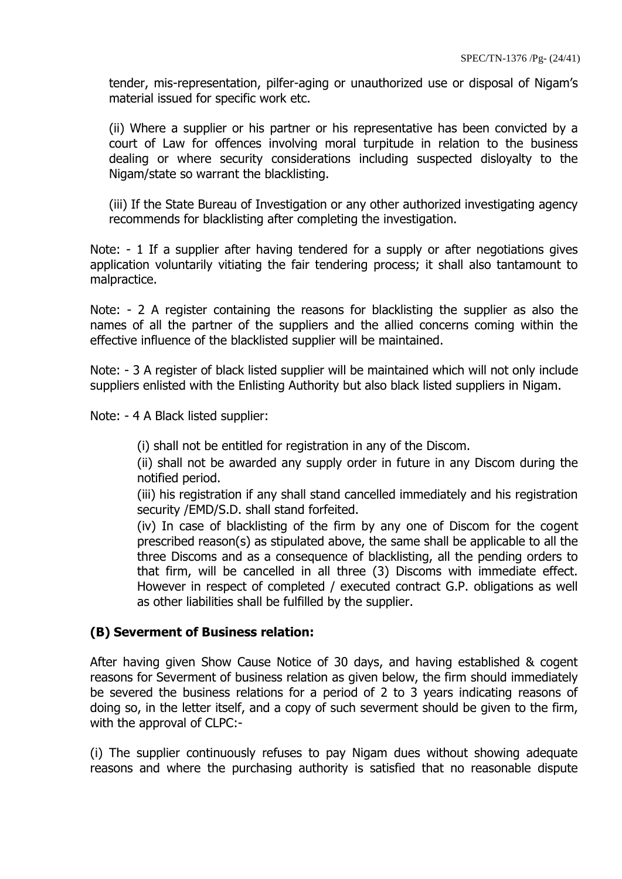tender, mis-representation, pilfer-aging or unauthorized use or disposal of Nigam"s material issued for specific work etc.

(ii) Where a supplier or his partner or his representative has been convicted by a court of Law for offences involving moral turpitude in relation to the business dealing or where security considerations including suspected disloyalty to the Nigam/state so warrant the blacklisting.

(iii) If the State Bureau of Investigation or any other authorized investigating agency recommends for blacklisting after completing the investigation.

Note: - 1 If a supplier after having tendered for a supply or after negotiations gives application voluntarily vitiating the fair tendering process; it shall also tantamount to malpractice.

Note: - 2 A register containing the reasons for blacklisting the supplier as also the names of all the partner of the suppliers and the allied concerns coming within the effective influence of the blacklisted supplier will be maintained.

Note: - 3 A register of black listed supplier will be maintained which will not only include suppliers enlisted with the Enlisting Authority but also black listed suppliers in Nigam.

Note: - 4 A Black listed supplier:

(i) shall not be entitled for registration in any of the Discom.

(ii) shall not be awarded any supply order in future in any Discom during the notified period.

(iii) his registration if any shall stand cancelled immediately and his registration security /EMD/S.D. shall stand forfeited.

(iv) In case of blacklisting of the firm by any one of Discom for the cogent prescribed reason(s) as stipulated above, the same shall be applicable to all the three Discoms and as a consequence of blacklisting, all the pending orders to that firm, will be cancelled in all three (3) Discoms with immediate effect. However in respect of completed / executed contract G.P. obligations as well as other liabilities shall be fulfilled by the supplier.

#### **(B) Severment of Business relation:**

After having given Show Cause Notice of 30 days, and having established & cogent reasons for Severment of business relation as given below, the firm should immediately be severed the business relations for a period of 2 to 3 years indicating reasons of doing so, in the letter itself, and a copy of such severment should be given to the firm, with the approval of CLPC:-

(i) The supplier continuously refuses to pay Nigam dues without showing adequate reasons and where the purchasing authority is satisfied that no reasonable dispute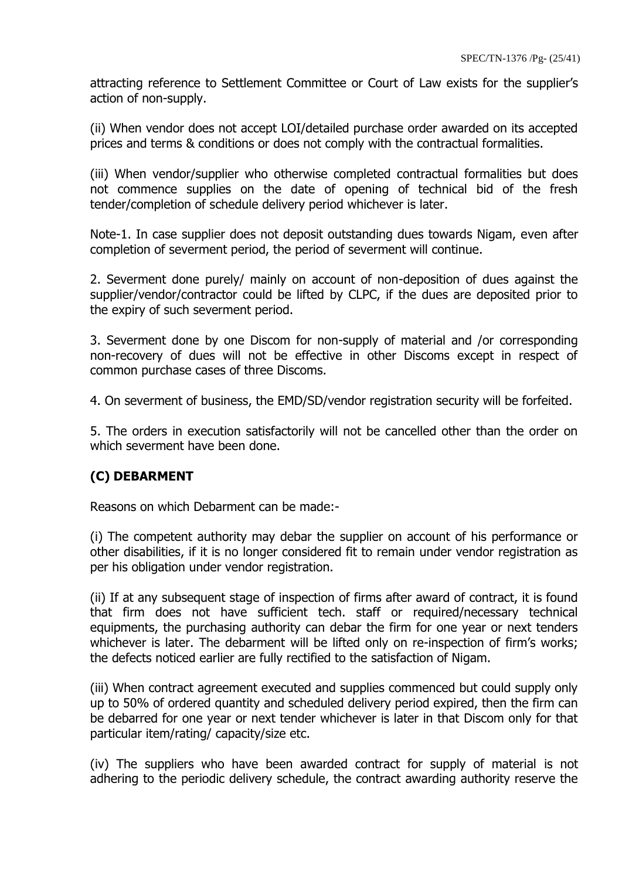attracting reference to Settlement Committee or Court of Law exists for the supplier"s action of non-supply.

(ii) When vendor does not accept LOI/detailed purchase order awarded on its accepted prices and terms & conditions or does not comply with the contractual formalities.

(iii) When vendor/supplier who otherwise completed contractual formalities but does not commence supplies on the date of opening of technical bid of the fresh tender/completion of schedule delivery period whichever is later.

Note-1. In case supplier does not deposit outstanding dues towards Nigam, even after completion of severment period, the period of severment will continue.

2. Severment done purely/ mainly on account of non-deposition of dues against the supplier/vendor/contractor could be lifted by CLPC, if the dues are deposited prior to the expiry of such severment period.

3. Severment done by one Discom for non-supply of material and /or corresponding non-recovery of dues will not be effective in other Discoms except in respect of common purchase cases of three Discoms.

4. On severment of business, the EMD/SD/vendor registration security will be forfeited.

5. The orders in execution satisfactorily will not be cancelled other than the order on which severment have been done.

# **(C) DEBARMENT**

Reasons on which Debarment can be made:-

(i) The competent authority may debar the supplier on account of his performance or other disabilities, if it is no longer considered fit to remain under vendor registration as per his obligation under vendor registration.

(ii) If at any subsequent stage of inspection of firms after award of contract, it is found that firm does not have sufficient tech. staff or required/necessary technical equipments, the purchasing authority can debar the firm for one year or next tenders whichever is later. The debarment will be lifted only on re-inspection of firm's works; the defects noticed earlier are fully rectified to the satisfaction of Nigam.

(iii) When contract agreement executed and supplies commenced but could supply only up to 50% of ordered quantity and scheduled delivery period expired, then the firm can be debarred for one year or next tender whichever is later in that Discom only for that particular item/rating/ capacity/size etc.

(iv) The suppliers who have been awarded contract for supply of material is not adhering to the periodic delivery schedule, the contract awarding authority reserve the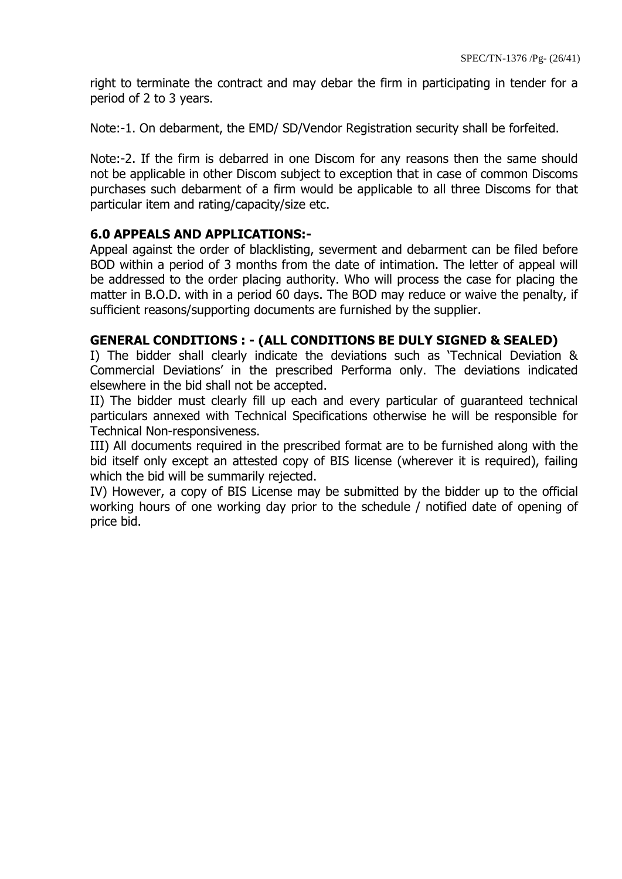right to terminate the contract and may debar the firm in participating in tender for a period of 2 to 3 years.

Note:-1. On debarment, the EMD/ SD/Vendor Registration security shall be forfeited.

Note:-2. If the firm is debarred in one Discom for any reasons then the same should not be applicable in other Discom subject to exception that in case of common Discoms purchases such debarment of a firm would be applicable to all three Discoms for that particular item and rating/capacity/size etc.

#### **6.0 APPEALS AND APPLICATIONS:-**

Appeal against the order of blacklisting, severment and debarment can be filed before BOD within a period of 3 months from the date of intimation. The letter of appeal will be addressed to the order placing authority. Who will process the case for placing the matter in B.O.D. with in a period 60 days. The BOD may reduce or waive the penalty, if sufficient reasons/supporting documents are furnished by the supplier.

#### **GENERAL CONDITIONS : - (ALL CONDITIONS BE DULY SIGNED & SEALED)**

I) The bidder shall clearly indicate the deviations such as "Technical Deviation & Commercial Deviations" in the prescribed Performa only. The deviations indicated elsewhere in the bid shall not be accepted.

II) The bidder must clearly fill up each and every particular of guaranteed technical particulars annexed with Technical Specifications otherwise he will be responsible for Technical Non-responsiveness.

III) All documents required in the prescribed format are to be furnished along with the bid itself only except an attested copy of BIS license (wherever it is required), failing which the bid will be summarily rejected.

IV) However, a copy of BIS License may be submitted by the bidder up to the official working hours of one working day prior to the schedule / notified date of opening of price bid.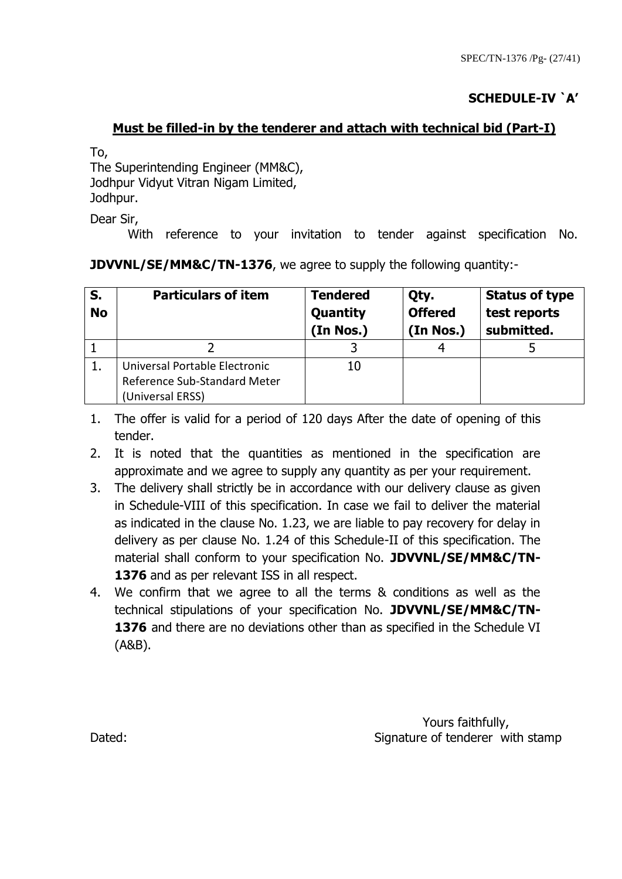# **SCHEDULE-IV `A'**

## **Must be filled-in by the tenderer and attach with technical bid (Part-I)**

To,

The Superintending Engineer (MM&C), Jodhpur Vidyut Vitran Nigam Limited, Jodhpur.

Dear Sir,

With reference to your invitation to tender against specification No.

| JDVVNL/SE/MM&C/TN-1376, we agree to supply the following quantity:- |  |  |  |
|---------------------------------------------------------------------|--|--|--|
|---------------------------------------------------------------------|--|--|--|

| S.<br><b>No</b> | <b>Particulars of item</b>                                                        | <b>Tendered</b><br>Quantity<br>(In Nos.) | Qty.<br><b>Offered</b><br>(In Nos.) | <b>Status of type</b><br>test reports<br>submitted. |
|-----------------|-----------------------------------------------------------------------------------|------------------------------------------|-------------------------------------|-----------------------------------------------------|
|                 |                                                                                   |                                          |                                     |                                                     |
|                 | Universal Portable Electronic<br>Reference Sub-Standard Meter<br>(Universal ERSS) | 10                                       |                                     |                                                     |

- 1. The offer is valid for a period of 120 days After the date of opening of this tender.
- 2. It is noted that the quantities as mentioned in the specification are approximate and we agree to supply any quantity as per your requirement.
- 3. The delivery shall strictly be in accordance with our delivery clause as given in Schedule-VIII of this specification. In case we fail to deliver the material as indicated in the clause No. 1.23, we are liable to pay recovery for delay in delivery as per clause No. 1.24 of this Schedule-II of this specification. The material shall conform to your specification No. **JDVVNL/SE/MM&C/TN-**1376 and as per relevant ISS in all respect.
- 4. We confirm that we agree to all the terms & conditions as well as the technical stipulations of your specification No. **JDVVNL/SE/MM&C/TN-1376** and there are no deviations other than as specified in the Schedule VI (A&B).

Yours faithfully, Dated: Dated: Contract of tenderer with stamp Signature of tenderer with stamp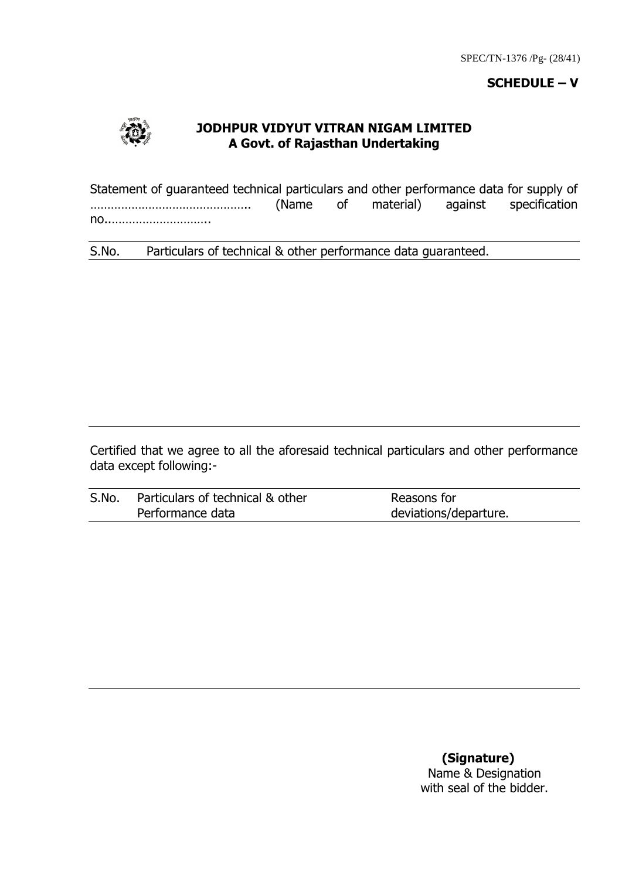#### **SCHEDULE – V**



#### **JODHPUR VIDYUT VITRAN NIGAM LIMITED A Govt. of Rajasthan Undertaking**

Statement of guaranteed technical particulars and other performance data for supply of ……………………………………….. (Name of material) against specification no..………………………..

S.No. Particulars of technical & other performance data guaranteed.

Certified that we agree to all the aforesaid technical particulars and other performance data except following:-

| S.No. | Particulars of technical & other | Reasons for           |
|-------|----------------------------------|-----------------------|
|       | Performance data                 | deviations/departure. |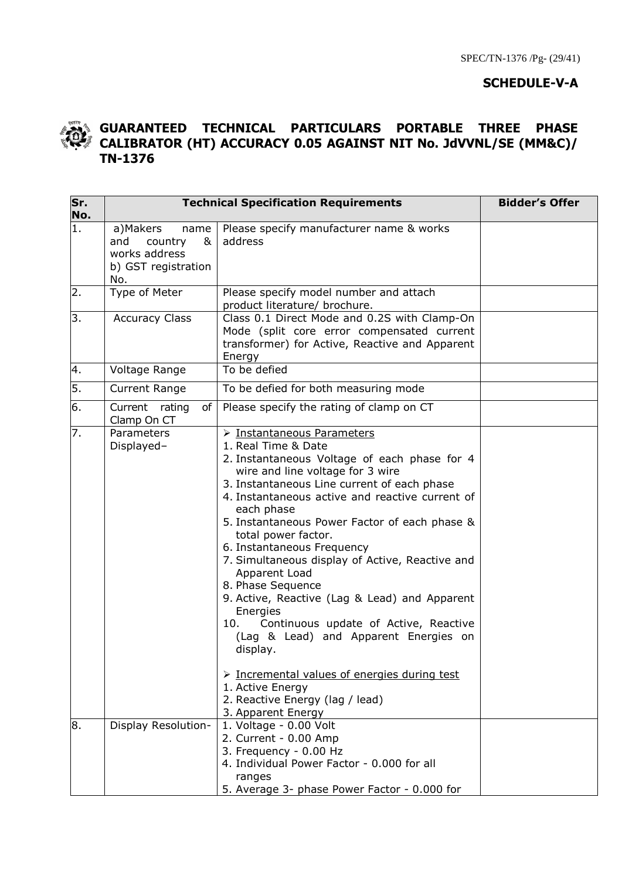## **SCHEDULE-V-A**



#### **GUARANTEED TECHNICAL PARTICULARS PORTABLE THREE PHASE CALIBRATOR (HT) ACCURACY 0.05 AGAINST NIT No. JdVVNL/SE (MM&C)/ TN-1376**

| Sr.<br>No. |                                                                                        | <b>Bidder's Offer</b><br><b>Technical Specification Requirements</b>                                                                                                                                                                                                                                                                                                                                                                                                                                                                                                                                                                                                   |  |  |  |  |  |
|------------|----------------------------------------------------------------------------------------|------------------------------------------------------------------------------------------------------------------------------------------------------------------------------------------------------------------------------------------------------------------------------------------------------------------------------------------------------------------------------------------------------------------------------------------------------------------------------------------------------------------------------------------------------------------------------------------------------------------------------------------------------------------------|--|--|--|--|--|
| 1.         | a)Makers<br>name<br>and<br>country<br>&<br>works address<br>b) GST registration<br>No. | Please specify manufacturer name & works<br>address                                                                                                                                                                                                                                                                                                                                                                                                                                                                                                                                                                                                                    |  |  |  |  |  |
| 2.         | Type of Meter                                                                          | Please specify model number and attach<br>product literature/ brochure.                                                                                                                                                                                                                                                                                                                                                                                                                                                                                                                                                                                                |  |  |  |  |  |
| 3.         | <b>Accuracy Class</b>                                                                  | Class 0.1 Direct Mode and 0.2S with Clamp-On<br>Mode (split core error compensated current<br>transformer) for Active, Reactive and Apparent<br>Energy                                                                                                                                                                                                                                                                                                                                                                                                                                                                                                                 |  |  |  |  |  |
| 4.         | Voltage Range                                                                          | To be defied                                                                                                                                                                                                                                                                                                                                                                                                                                                                                                                                                                                                                                                           |  |  |  |  |  |
| 5.         | <b>Current Range</b>                                                                   | To be defied for both measuring mode                                                                                                                                                                                                                                                                                                                                                                                                                                                                                                                                                                                                                                   |  |  |  |  |  |
| 6.         | Current rating<br>of<br>Clamp On CT                                                    | Please specify the rating of clamp on CT                                                                                                                                                                                                                                                                                                                                                                                                                                                                                                                                                                                                                               |  |  |  |  |  |
| 7.         | Parameters<br>Displayed-                                                               | > Instantaneous Parameters<br>1. Real Time & Date<br>2. Instantaneous Voltage of each phase for 4<br>wire and line voltage for 3 wire<br>3. Instantaneous Line current of each phase<br>4. Instantaneous active and reactive current of<br>each phase<br>5. Instantaneous Power Factor of each phase &<br>total power factor.<br>6. Instantaneous Frequency<br>7. Simultaneous display of Active, Reactive and<br>Apparent Load<br>8. Phase Sequence<br>9. Active, Reactive (Lag & Lead) and Apparent<br>Energies<br>Continuous update of Active, Reactive<br>10.<br>(Lag & Lead) and Apparent Energies on<br>display.<br>> Incremental values of energies during test |  |  |  |  |  |
|            |                                                                                        | 1. Active Energy<br>2. Reactive Energy (lag / lead)<br>3. Apparent Energy                                                                                                                                                                                                                                                                                                                                                                                                                                                                                                                                                                                              |  |  |  |  |  |
| 8.         | Display Resolution-                                                                    | 1. Voltage - 0.00 Volt<br>2. Current - 0.00 Amp<br>3. Frequency - 0.00 Hz<br>4. Individual Power Factor - 0.000 for all<br>ranges<br>5. Average 3- phase Power Factor - 0.000 for                                                                                                                                                                                                                                                                                                                                                                                                                                                                                      |  |  |  |  |  |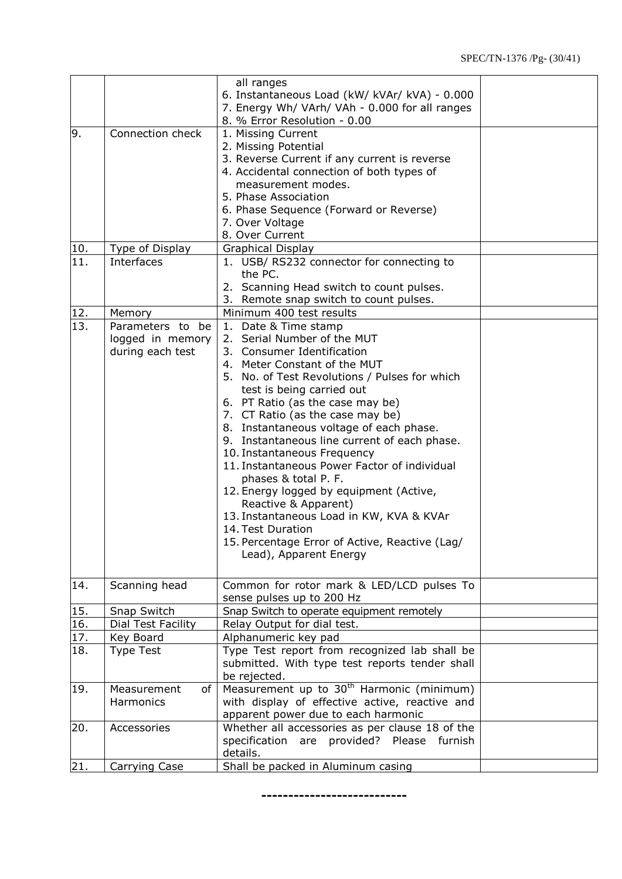|     |                        | all ranges                                                                  |  |
|-----|------------------------|-----------------------------------------------------------------------------|--|
|     |                        | 6. Instantaneous Load (kW/ kVAr/ kVA) - 0.000                               |  |
|     |                        | 7. Energy Wh/ VArh/ VAh - 0.000 for all ranges                              |  |
|     |                        | 8. % Error Resolution - 0.00                                                |  |
| 9.  | Connection check       | 1. Missing Current                                                          |  |
|     |                        | 2. Missing Potential                                                        |  |
|     |                        | 3. Reverse Current if any current is reverse                                |  |
|     |                        | 4. Accidental connection of both types of                                   |  |
|     |                        | measurement modes.                                                          |  |
|     |                        | 5. Phase Association                                                        |  |
|     |                        | 6. Phase Sequence (Forward or Reverse)                                      |  |
|     |                        | 7. Over Voltage                                                             |  |
|     |                        | 8. Over Current                                                             |  |
| 10. | <b>Type of Display</b> | <b>Graphical Display</b>                                                    |  |
| 11. | Interfaces             | 1. USB/ RS232 connector for connecting to                                   |  |
|     |                        | the PC.                                                                     |  |
|     |                        | 2. Scanning Head switch to count pulses.                                    |  |
|     |                        | 3. Remote snap switch to count pulses.                                      |  |
| 12. | Memory                 | Minimum 400 test results                                                    |  |
| 13. | Parameters to be       | 1. Date & Time stamp                                                        |  |
|     | logged in memory       | 2. Serial Number of the MUT                                                 |  |
|     | during each test       | 3. Consumer Identification                                                  |  |
|     |                        | 4. Meter Constant of the MUT                                                |  |
|     |                        | 5. No. of Test Revolutions / Pulses for which                               |  |
|     |                        | test is being carried out                                                   |  |
|     |                        | 6. PT Ratio (as the case may be)                                            |  |
|     |                        | 7. CT Ratio (as the case may be)                                            |  |
|     |                        | 8. Instantaneous voltage of each phase.                                     |  |
|     |                        | 9. Instantaneous line current of each phase.                                |  |
|     |                        | 10. Instantaneous Frequency<br>11. Instantaneous Power Factor of individual |  |
|     |                        | phases & total P. F.                                                        |  |
|     |                        | 12. Energy logged by equipment (Active,                                     |  |
|     |                        | Reactive & Apparent)                                                        |  |
|     |                        | 13. Instantaneous Load in KW, KVA & KVAr                                    |  |
|     |                        | 14. Test Duration                                                           |  |
|     |                        | 15. Percentage Error of Active, Reactive (Lag/                              |  |
|     |                        | Lead), Apparent Energy                                                      |  |
|     |                        |                                                                             |  |
| 14. | Scanning head          | Common for rotor mark & LED/LCD pulses To                                   |  |
|     |                        | sense pulses up to 200 Hz                                                   |  |
| 15. | Snap Switch            | Snap Switch to operate equipment remotely                                   |  |
| 16. | Dial Test Facility     | Relay Output for dial test.                                                 |  |
| 17. | Key Board              | Alphanumeric key pad                                                        |  |
| 18. | <b>Type Test</b>       | Type Test report from recognized lab shall be                               |  |
|     |                        | submitted. With type test reports tender shall                              |  |
|     |                        | be rejected.                                                                |  |
| 19. | Measurement<br>of      | Measurement up to 30 <sup>th</sup> Harmonic (minimum)                       |  |
|     | Harmonics              | with display of effective active, reactive and                              |  |
|     |                        | apparent power due to each harmonic                                         |  |
| 20. | Accessories            | Whether all accessories as per clause 18 of the                             |  |
|     |                        | specification are provided? Please furnish                                  |  |
|     |                        | details.                                                                    |  |
| 21. | Carrying Case          | Shall be packed in Aluminum casing                                          |  |

**---------------------------**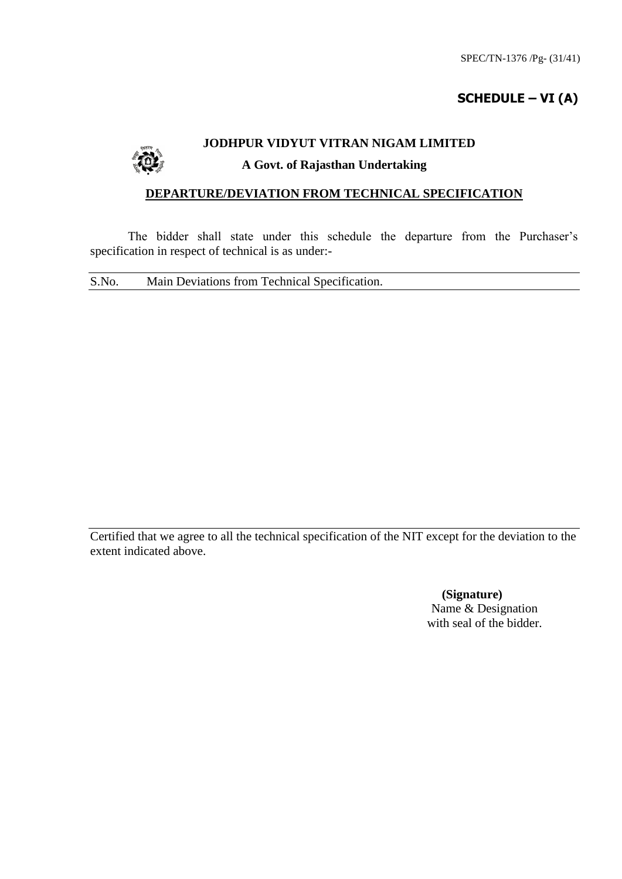# **SCHEDULE – VI (A)**

# **JODHPUR VIDYUT VITRAN NIGAM LIMITED**

#### **A Govt. of Rajasthan Undertaking**

#### **DEPARTURE/DEVIATION FROM TECHNICAL SPECIFICATION**

The bidder shall state under this schedule the departure from the Purchaser's specification in respect of technical is as under:-

S.No. Main Deviations from Technical Specification.

Certified that we agree to all the technical specification of the NIT except for the deviation to the extent indicated above.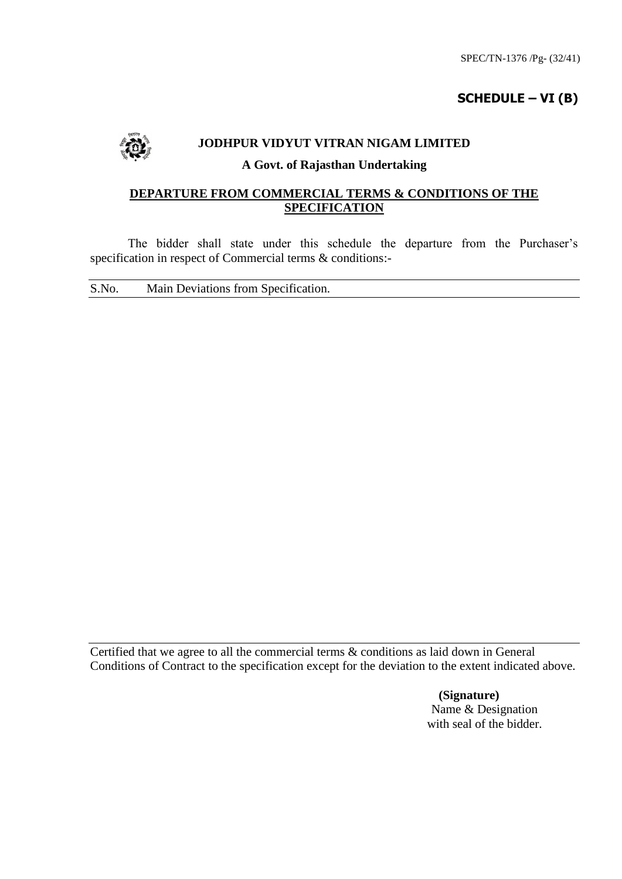# **SCHEDULE – VI (B)**



#### **JODHPUR VIDYUT VITRAN NIGAM LIMITED**

#### **A Govt. of Rajasthan Undertaking**

#### **DEPARTURE FROM COMMERCIAL TERMS & CONDITIONS OF THE SPECIFICATION**

The bidder shall state under this schedule the departure from the Purchaser's specification in respect of Commercial terms & conditions:-

S.No. Main Deviations from Specification.

Certified that we agree to all the commercial terms & conditions as laid down in General Conditions of Contract to the specification except for the deviation to the extent indicated above.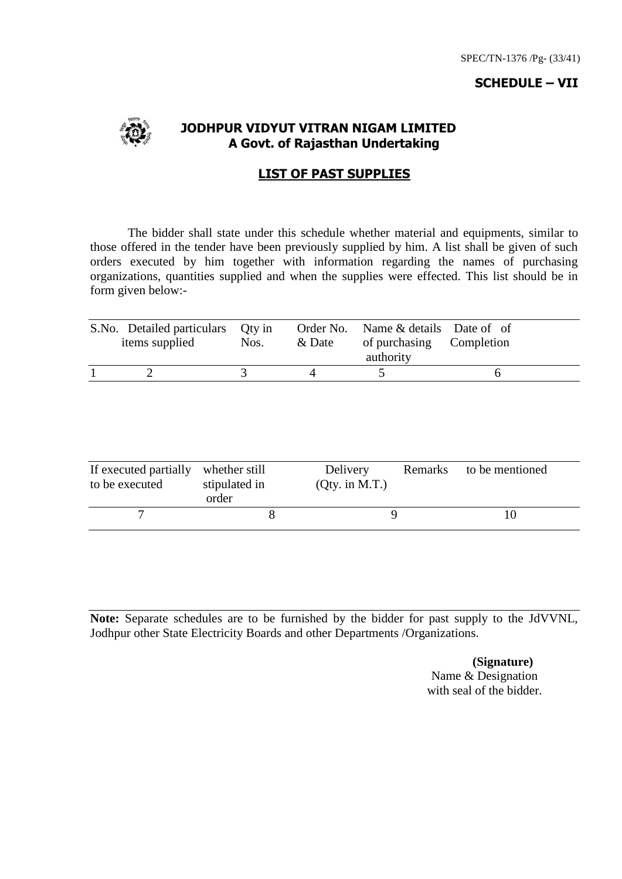#### **SCHEDULE – VII**



#### **JODHPUR VIDYUT VITRAN NIGAM LIMITED A Govt. of Rajasthan Undertaking**

#### **LIST OF PAST SUPPLIES**

The bidder shall state under this schedule whether material and equipments, similar to those offered in the tender have been previously supplied by him. A list shall be given of such orders executed by him together with information regarding the names of purchasing organizations, quantities supplied and when the supplies were effected. This list should be in form given below:-

| S.No. Detailed particulars<br>items supplied | Oty in<br>Nos. | & Date | Order No. Name & details Date of of<br>of purchasing Completion<br>authority |  |
|----------------------------------------------|----------------|--------|------------------------------------------------------------------------------|--|
|                                              |                |        |                                                                              |  |

| If executed partially<br>to be executed | whether still<br>stipulated in<br>order | Delivery<br>$Qty.$ in M.T.) | Remarks | to be mentioned |
|-----------------------------------------|-----------------------------------------|-----------------------------|---------|-----------------|
|                                         |                                         |                             |         |                 |

**Note:** Separate schedules are to be furnished by the bidder for past supply to the JdVVNL, Jodhpur other State Electricity Boards and other Departments /Organizations.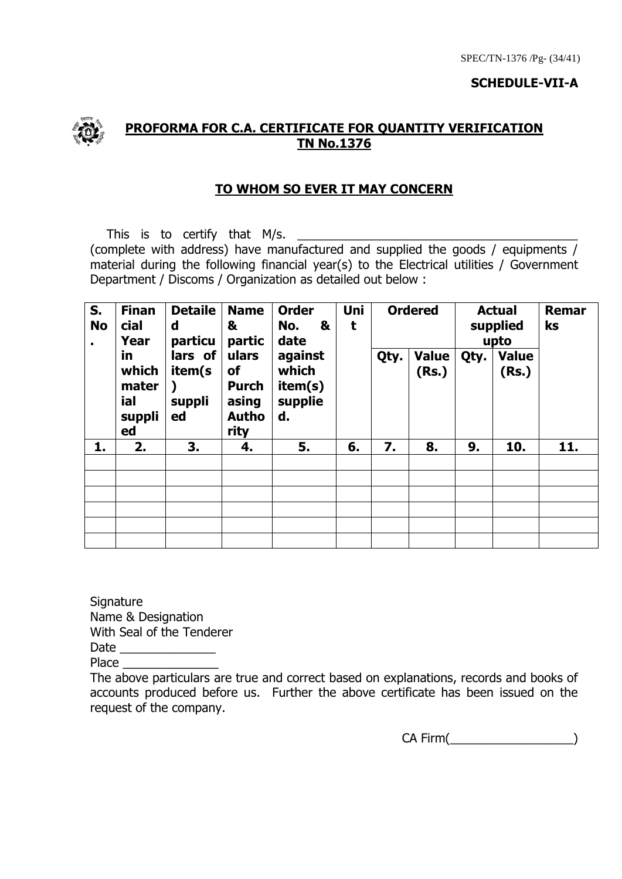#### **SCHEDULE-VII-A**



## **PROFORMA FOR C.A. CERTIFICATE FOR QUANTITY VERIFICATION TN No.1376**

## **TO WHOM SO EVER IT MAY CONCERN**

This is to certify that  $M/s$ . (complete with address) have manufactured and supplied the goods / equipments / material during the following financial year(s) to the Electrical utilities / Government Department / Discoms / Organization as detailed out below :

| S.<br><b>No</b> | <b>Finan</b><br>cial<br>Year                | <b>Detaile</b><br><b>Name</b><br>&<br>d<br>particu<br>partic | <b>Order</b><br>&<br>No.<br>date | ulars<br>against<br>which<br>οf<br><b>Purch</b><br>item(s)<br>supplie<br>asing<br><b>Autho</b><br>d. | Uni<br>t |    | <b>Ordered</b> |      | <b>Actual</b><br>supplied<br>upto | Remar<br>ks |                       |
|-----------------|---------------------------------------------|--------------------------------------------------------------|----------------------------------|------------------------------------------------------------------------------------------------------|----------|----|----------------|------|-----------------------------------|-------------|-----------------------|
|                 | in<br>which<br>mater<br>ial<br>suppli<br>ed | lars of<br>item(s<br>suppli<br>ed                            | rity                             |                                                                                                      |          |    |                | Qty. | <b>Value</b><br>(Rs.)             | Qty.        | <b>Value</b><br>(Rs.) |
| 1.              | 2.                                          | 3.                                                           | 4.                               | 5.                                                                                                   | 6.       | 7. | 8.             | 9.   | 10.                               | 11.         |                       |
|                 |                                             |                                                              |                                  |                                                                                                      |          |    |                |      |                                   |             |                       |
|                 |                                             |                                                              |                                  |                                                                                                      |          |    |                |      |                                   |             |                       |
|                 |                                             |                                                              |                                  |                                                                                                      |          |    |                |      |                                   |             |                       |
|                 |                                             |                                                              |                                  |                                                                                                      |          |    |                |      |                                   |             |                       |
|                 |                                             |                                                              |                                  |                                                                                                      |          |    |                |      |                                   |             |                       |
|                 |                                             |                                                              |                                  |                                                                                                      |          |    |                |      |                                   |             |                       |

**Signature** Name & Designation With Seal of the Tenderer Date \_\_\_\_\_\_\_\_\_\_\_\_\_\_

Place \_\_\_\_\_\_\_\_\_\_\_\_\_\_

The above particulars are true and correct based on explanations, records and books of accounts produced before us. Further the above certificate has been issued on the request of the company.

CA Firm(\_\_\_\_\_\_\_\_\_\_\_\_\_\_\_\_\_\_)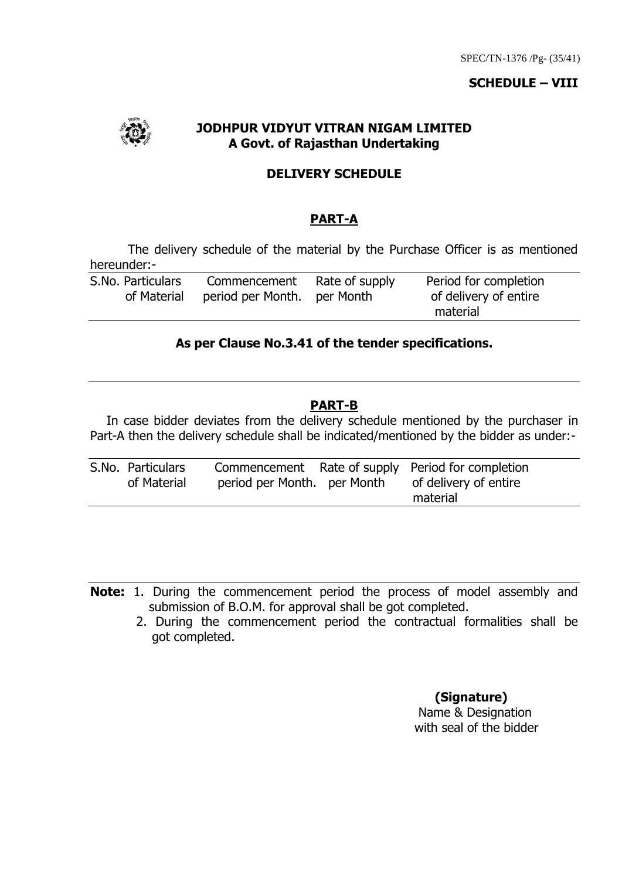#### **SCHEDULE – VIII**



## **JODHPUR VIDYUT VITRAN NIGAM LIMITED A Govt. of Rajasthan Undertaking**

#### **DELIVERY SCHEDULE**

## **PART-A**

The delivery schedule of the material by the Purchase Officer is as mentioned hereunder:-

| S.No. Particulars | Commencement                | Rate of supply | Period for completion |
|-------------------|-----------------------------|----------------|-----------------------|
| of Material       | period per Month. per Month |                | of delivery of entire |
|                   |                             |                | material              |

#### **As per Clause No.3.41 of the tender specifications.**

#### **PART-B**

In case bidder deviates from the delivery schedule mentioned by the purchaser in Part-A then the delivery schedule shall be indicated/mentioned by the bidder as under:-

| S.No. Particulars |                             | Commencement Rate of supply Period for completion |
|-------------------|-----------------------------|---------------------------------------------------|
| of Material       | period per Month. per Month | of delivery of entire                             |
|                   |                             | material                                          |

**Note:** 1. During the commencement period the process of model assembly and submission of B.O.M. for approval shall be got completed.

 2. During the commencement period the contractual formalities shall be got completed.

**(Signature)**

 Name & Designation with seal of the bidder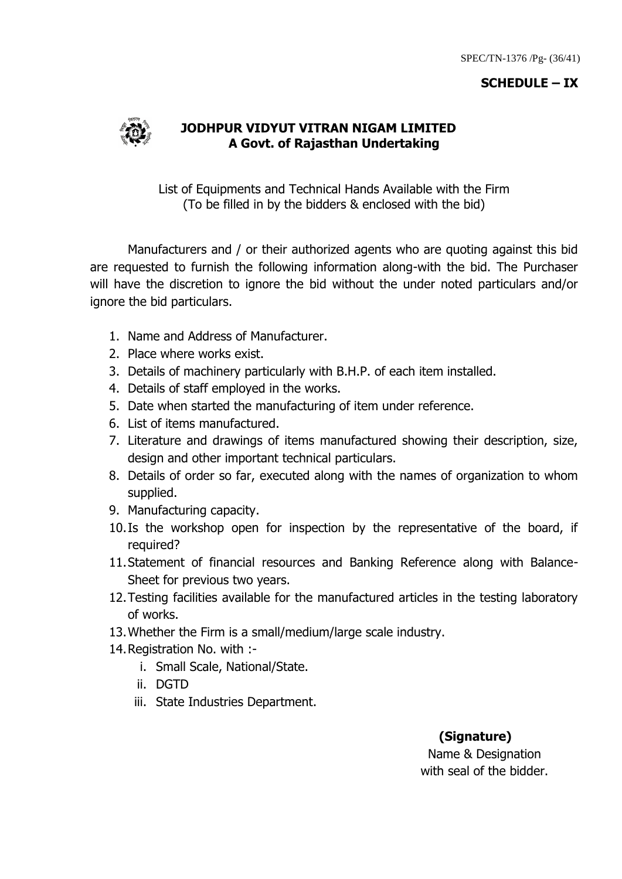#### **SCHEDULE – IX**



#### **JODHPUR VIDYUT VITRAN NIGAM LIMITED A Govt. of Rajasthan Undertaking**

List of Equipments and Technical Hands Available with the Firm (To be filled in by the bidders & enclosed with the bid)

Manufacturers and / or their authorized agents who are quoting against this bid are requested to furnish the following information along-with the bid. The Purchaser will have the discretion to ignore the bid without the under noted particulars and/or ignore the bid particulars.

- 1. Name and Address of Manufacturer.
- 2. Place where works exist.
- 3. Details of machinery particularly with B.H.P. of each item installed.
- 4. Details of staff employed in the works.
- 5. Date when started the manufacturing of item under reference.
- 6. List of items manufactured.
- 7. Literature and drawings of items manufactured showing their description, size, design and other important technical particulars.
- 8. Details of order so far, executed along with the names of organization to whom supplied.
- 9. Manufacturing capacity.
- 10.Is the workshop open for inspection by the representative of the board, if required?
- 11.Statement of financial resources and Banking Reference along with Balance-Sheet for previous two years.
- 12.Testing facilities available for the manufactured articles in the testing laboratory of works.
- 13.Whether the Firm is a small/medium/large scale industry.
- 14.Registration No. with :
	- i. Small Scale, National/State.
	- ii. DGTD
	- iii. State Industries Department.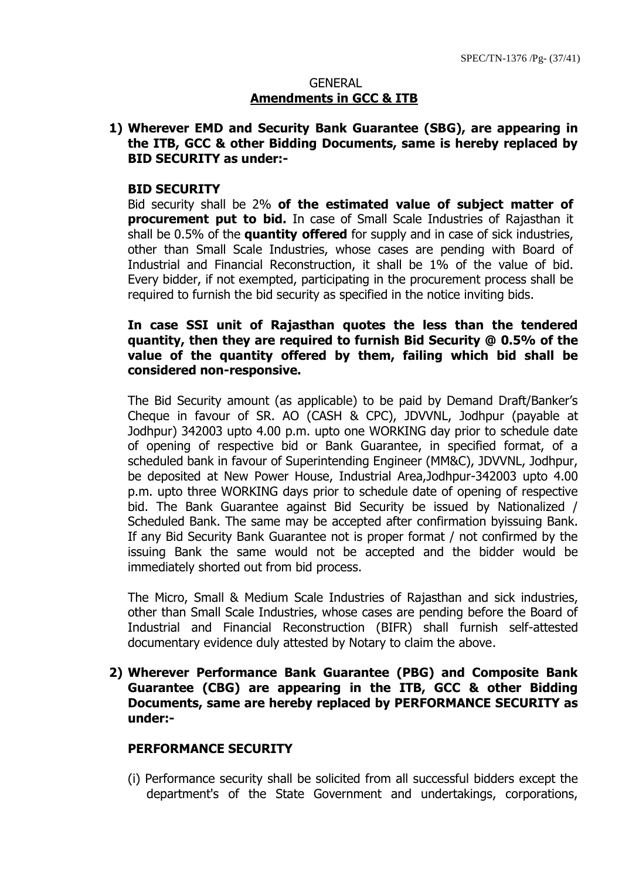#### **GENERAL Amendments in GCC & ITB**

## **1) Wherever EMD and Security Bank Guarantee (SBG), are appearing in the ITB, GCC & other Bidding Documents, same is hereby replaced by BID SECURITY as under:-**

#### **BID SECURITY**

Bid security shall be 2% **of the estimated value of subject matter of procurement put to bid.** In case of Small Scale Industries of Rajasthan it shall be 0.5% of the **quantity offered** for supply and in case of sick industries, other than Small Scale Industries, whose cases are pending with Board of Industrial and Financial Reconstruction, it shall be 1% of the value of bid. Every bidder, if not exempted, participating in the procurement process shall be required to furnish the bid security as specified in the notice inviting bids.

#### **In case SSI unit of Rajasthan quotes the less than the tendered quantity, then they are required to furnish Bid Security @ 0.5% of the value of the quantity offered by them, failing which bid shall be considered non-responsive.**

The Bid Security amount (as applicable) to be paid by Demand Draft/Banker"s Cheque in favour of SR. AO (CASH & CPC), JDVVNL, Jodhpur (payable at Jodhpur) 342003 upto 4.00 p.m. upto one WORKING day prior to schedule date of opening of respective bid or Bank Guarantee, in specified format, of a scheduled bank in favour of Superintending Engineer (MM&C), JDVVNL, Jodhpur, be deposited at New Power House, Industrial Area,Jodhpur-342003 upto 4.00 p.m. upto three WORKING days prior to schedule date of opening of respective bid. The Bank Guarantee against Bid Security be issued by Nationalized / Scheduled Bank. The same may be accepted after confirmation byissuing Bank. If any Bid Security Bank Guarantee not is proper format / not confirmed by the issuing Bank the same would not be accepted and the bidder would be immediately shorted out from bid process.

The Micro, Small & Medium Scale Industries of Rajasthan and sick industries, other than Small Scale Industries, whose cases are pending before the Board of Industrial and Financial Reconstruction (BIFR) shall furnish self-attested documentary evidence duly attested by Notary to claim the above.

#### **2) Wherever Performance Bank Guarantee (PBG) and Composite Bank Guarantee (CBG) are appearing in the ITB, GCC & other Bidding Documents, same are hereby replaced by PERFORMANCE SECURITY as under:-**

#### **PERFORMANCE SECURITY**

(i) Performance security shall be solicited from all successful bidders except the department's of the State Government and undertakings, corporations,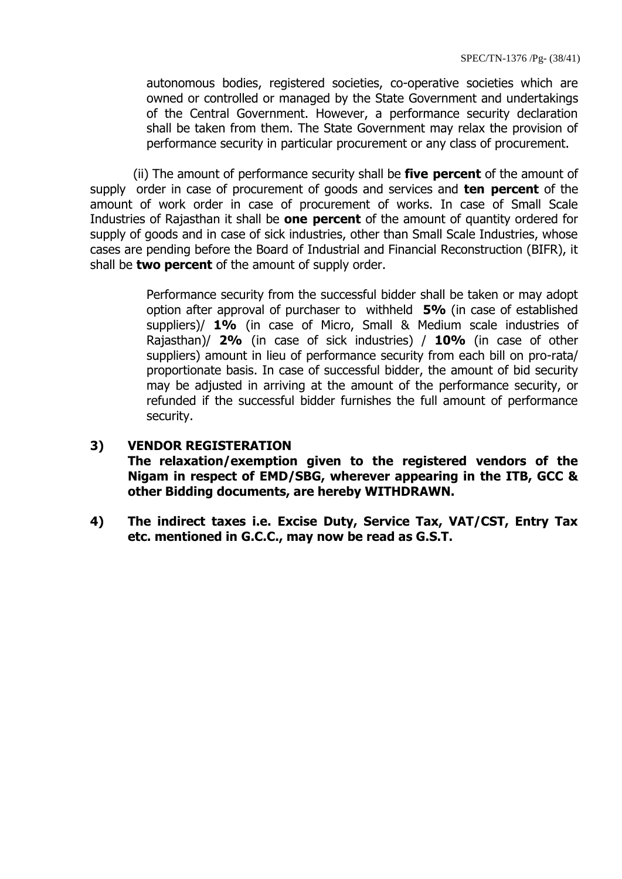autonomous bodies, registered societies, co-operative societies which are owned or controlled or managed by the State Government and undertakings of the Central Government. However, a performance security declaration shall be taken from them. The State Government may relax the provision of performance security in particular procurement or any class of procurement.

 (ii) The amount of performance security shall be **five percent** of the amount of supply order in case of procurement of goods and services and **ten percent** of the amount of work order in case of procurement of works. In case of Small Scale Industries of Rajasthan it shall be **one percent** of the amount of quantity ordered for supply of goods and in case of sick industries, other than Small Scale Industries, whose cases are pending before the Board of Industrial and Financial Reconstruction (BIFR), it shall be **two percent** of the amount of supply order.

> Performance security from the successful bidder shall be taken or may adopt option after approval of purchaser to withheld **5%** (in case of established suppliers)/ **1%** (in case of Micro, Small & Medium scale industries of Rajasthan)/ **2%** (in case of sick industries) / **10%** (in case of other suppliers) amount in lieu of performance security from each bill on pro-rata/ proportionate basis. In case of successful bidder, the amount of bid security may be adjusted in arriving at the amount of the performance security, or refunded if the successful bidder furnishes the full amount of performance security.

#### **3) VENDOR REGISTERATION**

**The relaxation/exemption given to the registered vendors of the Nigam in respect of EMD/SBG, wherever appearing in the ITB, GCC & other Bidding documents, are hereby WITHDRAWN.**

**4) The indirect taxes i.e. Excise Duty, Service Tax, VAT/CST, Entry Tax etc. mentioned in G.C.C., may now be read as G.S.T.**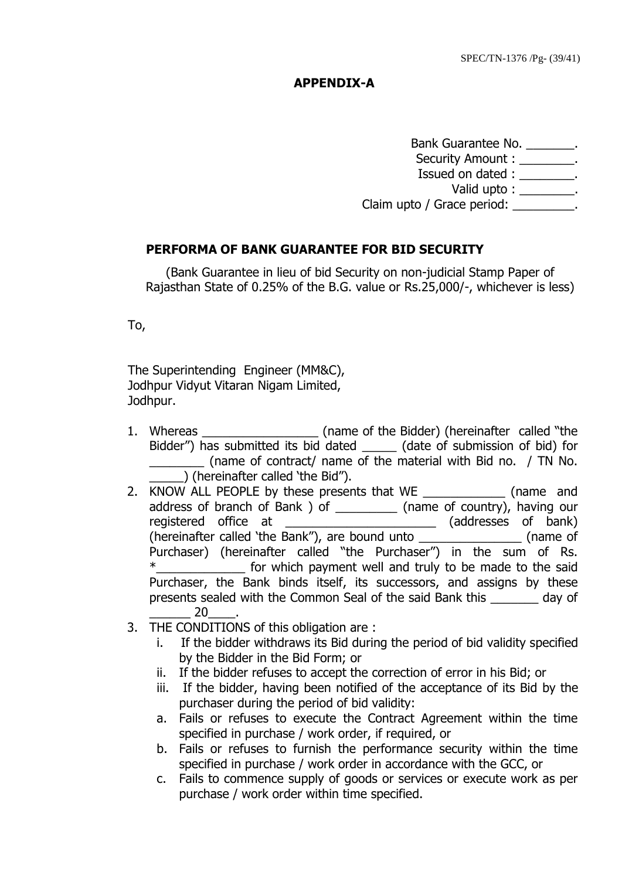#### **APPENDIX-A**

Bank Guarantee No. \_\_\_\_\_\_\_. Security Amount : \_\_\_\_\_\_\_\_. Issued on dated : \_\_\_\_\_\_\_\_. Valid upto : \_\_\_\_\_\_\_\_. Claim upto / Grace period: \_\_\_\_\_\_\_\_\_.

## **PERFORMA OF BANK GUARANTEE FOR BID SECURITY**

(Bank Guarantee in lieu of bid Security on non-judicial Stamp Paper of Rajasthan State of 0.25% of the B.G. value or Rs.25,000/-, whichever is less)

To,

The Superintending Engineer (MM&C), Jodhpur Vidyut Vitaran Nigam Limited, Jodhpur.

- 1. Whereas \_\_\_\_\_\_\_\_\_\_\_\_\_\_\_\_\_ (name of the Bidder) (hereinafter called "the Bidder") has submitted its bid dated (date of submission of bid) for \_\_\_\_\_\_\_\_ (name of contract/ name of the material with Bid no. / TN No.  $\overline{\hspace{2mm}}$  ) (hereinafter called 'the Bid").
- 2. KNOW ALL PEOPLE by these presents that WE \_\_\_\_\_\_\_\_\_\_\_\_\_\_ (name and address of branch of Bank ) of \_\_\_\_\_\_\_\_\_ (name of country), having our registered office at \_\_\_\_\_\_\_\_\_\_\_\_\_\_\_\_\_\_\_\_\_\_\_\_ (addresses of bank) (hereinafter called "the Bank"), are bound unto \_\_\_\_\_\_\_\_\_\_\_\_\_\_\_ (name of Purchaser) (hereinafter called "the Purchaser") in the sum of Rs. \*\_\_\_\_\_\_\_\_\_\_\_\_\_ for which payment well and truly to be made to the said Purchaser, the Bank binds itself, its successors, and assigns by these presents sealed with the Common Seal of the said Bank this \_\_\_\_\_\_\_ day of  $20$
- 3. THE CONDITIONS of this obligation are :
	- i. If the bidder withdraws its Bid during the period of bid validity specified by the Bidder in the Bid Form; or
	- ii. If the bidder refuses to accept the correction of error in his Bid; or
	- iii. If the bidder, having been notified of the acceptance of its Bid by the purchaser during the period of bid validity:
	- a. Fails or refuses to execute the Contract Agreement within the time specified in purchase / work order, if required, or
	- b. Fails or refuses to furnish the performance security within the time specified in purchase / work order in accordance with the GCC, or
	- c. Fails to commence supply of goods or services or execute work as per purchase / work order within time specified.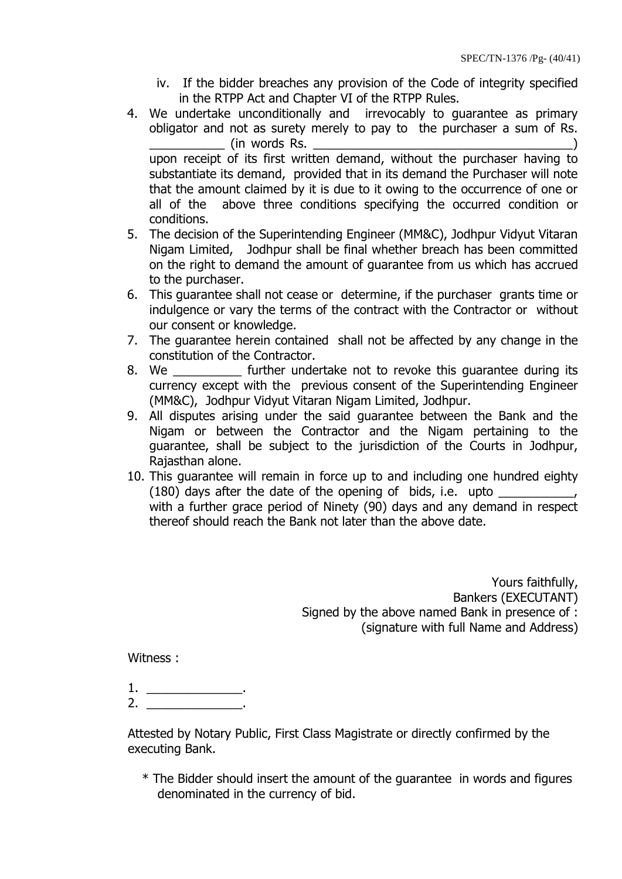- iv. If the bidder breaches any provision of the Code of integrity specified in the RTPP Act and Chapter VI of the RTPP Rules.
- 4. We undertake unconditionally and irrevocably to guarantee as primary obligator and not as surety merely to pay to the purchaser a sum of Rs. \_\_\_\_\_\_\_\_\_\_\_ (in words Rs. \_\_\_\_\_\_\_\_\_\_\_\_\_\_\_\_\_\_\_\_\_\_\_\_\_\_\_\_\_\_\_\_\_\_\_\_\_\_) upon receipt of its first written demand, without the purchaser having to substantiate its demand, provided that in its demand the Purchaser will note

that the amount claimed by it is due to it owing to the occurrence of one or all of the above three conditions specifying the occurred condition or conditions.

- 5. The decision of the Superintending Engineer (MM&C), Jodhpur Vidyut Vitaran Nigam Limited, Jodhpur shall be final whether breach has been committed on the right to demand the amount of guarantee from us which has accrued to the purchaser.
- 6. This guarantee shall not cease or determine, if the purchaser grants time or indulgence or vary the terms of the contract with the Contractor or without our consent or knowledge.
- 7. The guarantee herein contained shall not be affected by any change in the constitution of the Contractor.
- 8. We \_\_\_\_\_\_\_\_\_\_\_ further undertake not to revoke this guarantee during its currency except with the previous consent of the Superintending Engineer (MM&C), Jodhpur Vidyut Vitaran Nigam Limited, Jodhpur.
- 9. All disputes arising under the said guarantee between the Bank and the Nigam or between the Contractor and the Nigam pertaining to the guarantee, shall be subject to the jurisdiction of the Courts in Jodhpur, Rajasthan alone.
- 10. This guarantee will remain in force up to and including one hundred eighty  $(180)$  days after the date of the opening of bids, i.e. upto  $\frac{1}{2}$ with a further grace period of Ninety (90) days and any demand in respect thereof should reach the Bank not later than the above date.

Yours faithfully, Bankers (EXECUTANT) Signed by the above named Bank in presence of : (signature with full Name and Address)

Witness :

- 1. \_\_\_\_\_\_\_\_\_\_\_\_\_\_\_\_\_\_\_.  $2.$
- 

Attested by Notary Public, First Class Magistrate or directly confirmed by the executing Bank.

\* The Bidder should insert the amount of the guarantee in words and figures denominated in the currency of bid.